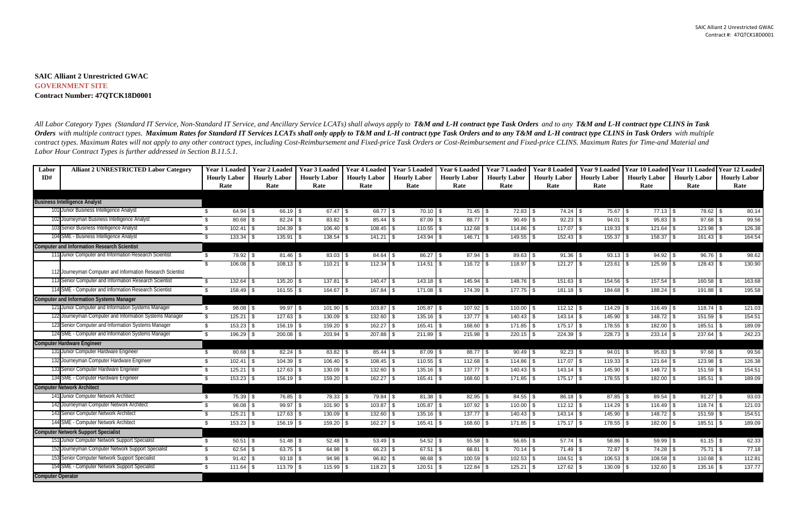## **SAIC Alliant 2 Unrestricted GWAC GOVERNMENT SITE Contract Number: 47QTCK18D0001**

| Labor                    | <b>Alliant 2 UNRESTRICTED Labor Category</b>               | <b>Year 1 Loaded</b> | <b>Year 2 Loaded</b> | <b>Year 3 Loaded</b> | <b>Year 4 Loaded</b> | <b>Year 5 Loaded</b> | <b>Year 6 Loaded</b> | <b>Year 7 Loaded</b> | <b>Year 8 Loaded</b> | <b>Year 9 Loaded</b>     | <b>Year 10 Loaded</b> | Year 11 Loaded      | Year 12 Loaded      |
|--------------------------|------------------------------------------------------------|----------------------|----------------------|----------------------|----------------------|----------------------|----------------------|----------------------|----------------------|--------------------------|-----------------------|---------------------|---------------------|
| ID#                      |                                                            | <b>Hourly Labor</b>  | <b>Hourly Labor</b>  | <b>Hourly Labor</b>  | <b>Hourly Labor</b>  | <b>Hourly Labor</b>  | <b>Hourly Labor</b>  | <b>Hourly Labor</b>  | <b>Hourly Labor</b>  | <b>Hourly Labor</b>      | <b>Hourly Labor</b>   | <b>Hourly Labor</b> | <b>Hourly Labor</b> |
|                          |                                                            | Rate                 | Rate                 | Rate                 | Rate                 | Rate                 | Rate                 | Rate                 | Rate                 | Rate                     | Rate                  | Rate                | Rate                |
|                          |                                                            |                      |                      |                      |                      |                      |                      |                      |                      |                          |                       |                     |                     |
|                          | <b>Business Intelligence Analyst</b>                       |                      |                      |                      |                      |                      |                      |                      |                      |                          |                       |                     |                     |
|                          | 101 Junior Business Intelligence Analyst                   | $64.94$ \$<br>- \$   | 66.19 \$             |                      | 68.77 \$             | $70.10$ \$           |                      | $72.83$ \$           |                      |                          |                       | 78.62 \$            | 80.14               |
|                          | 102 Journeyman Business Intelligence Analyst               | \$                   |                      |                      |                      | $87.09$ \ \$         |                      | $90.49$ \\$          |                      | $94.01$ \$               | $95.83$ \$            | $97.68$ \ \$        | 99.56               |
|                          | 103 Senior Business Intelligence Analyst                   | \$                   | $104.39$ \ \$        | $106.40$ \$          | $108.45$ \$          |                      |                      | 114.86 \$            | $117.07$ \\$         | $119.33$ \$              |                       |                     | 126.38              |
|                          | 104 SME - Business Intelligence Analyst                    | $133.34$ \$<br>-\$   | $135.91$ \$          |                      | $141.21$ \$          | $143.94$ \\$         | $146.71$ \\$         | $149.55$ \$          | 152.43               | $155.37$ \$<br>-\$       | $158.37$ \\$          | $161.43$ \$         | 164.54              |
|                          | <b>Computer and Information Research Scientist</b>         |                      |                      |                      |                      |                      |                      |                      |                      |                          |                       |                     |                     |
|                          | 111 Junior Computer and Information Research Scientist     | \$<br>79.92 \$       |                      | $83.03$ \$           | $84.64$ \$           | $86.27$ \$           | $87.94$ \\$          | $89.63$ \$           | $91.36$ \$           | $93.13$ \$               | $94.92$ \$            | $96.76$ \$          | 98.62               |
|                          |                                                            | \$                   | $108.13$ \$          | $110.21$ \$          |                      | $114.51$ \\$         |                      |                      |                      | $123.61$ \\$             | $125.99$ \ \$         | 128.43              | 130.90              |
|                          | 112 Journeyman Computer and Information Research Scientist |                      |                      |                      |                      |                      |                      |                      |                      |                          |                       |                     |                     |
|                          | 113 Senior Computer and Information Research Scientist     | - \$                 | $135.20$ \$          | $137.81$ \$          |                      |                      | $145.94$ \\$         | $148.76$ \\$         | $151.63$ \$          | $154.56$ \ \$            |                       | 160.58              | 163.68              |
|                          | 114 SME - Computer and Information Research Scientist      | \$                   | $161.55$ \$          | 164.67 \$            | $167.84$ \ \$        | $171.08$ \$          | $174.39$ \\$         | $177.75$ \$          | $181.18$ \$          |                          |                       | 191.88              | 195.58              |
|                          | <b>Computer and Information Systems Manager</b>            |                      |                      |                      |                      |                      |                      |                      |                      |                          |                       |                     |                     |
|                          | 121 Junior Computer and Information Systems Manager        | \$<br>$98.08$ \$     | $99.97$ \$           | $101.90$ \$          | $103.87$ \$          | $105.87$ \$          | $107.92$ \$          | $110.00$ \ \$        |                      | $114.29$ \ \$            | $116.49$ \$           | $118.74$ \$         | 121.03              |
|                          | 122 Journeyman Computer and Information Systems Manager    | \$<br>$125.21$ \$    | 127.63               | 130.09<br>l \$       | 132.60<br>\$         | $135.16$ \\$         | 137.77               | $140.43$ \\$<br>l \$ | 143.14               | $145.90$ \$<br>\$        | $148.72$ \$           | 151.59              | 154.51              |
|                          | 123 Senior Computer and Information Systems Manager        | \$<br>$153.23$ \$    | $156.19$ \\$         | $159.20$ \$          | $162.27$ \$          | $165.41$ \$          | 168.60               | $171.85$ \$          | $175.17$ \\$         | $178.55$ \$              | $182.00$ \$           | $185.51$ \$         | 189.09              |
|                          | 124 SME - Computer and Information Systems Manager         | $196.29$ \$<br>\$    | $200.08$ \ \ \$      |                      | 207.88 \$            | $211.89$ \$          | 215.98               | $220.15$ \\$<br>l \$ |                      | $228.73$ \$              | $233.14$ \$           | 237.64              | 242.23              |
|                          | <b>Computer Hardware Engineer</b>                          |                      |                      |                      |                      |                      |                      |                      |                      |                          |                       |                     |                     |
|                          | 131 Junior Computer Hardware Engineer                      | $80.68$ \$<br>-\$    |                      |                      | $85.44$ \ \$         | 87.09 \$             |                      | $90.49$ \$           | $92.23$ \$           | $94.01$ \ \$             | $95.83$ \$            | $97.68$ \ \$        | 99.56               |
|                          | 132 Journeyman Computer Hardware Engineer                  | \$<br>$102.41$ \$    | $104.39$ \$          | $106.40$ \$          | $108.45$ \\$         |                      |                      |                      | 117.07               | $119.33$ \$<br>- \$      |                       | 123.98              | 126.38              |
|                          | 133 Senior Computer Hardware Engineer                      | \$<br>$125.21$ \\$   | 127.63               | 130.09<br>l \$       | 132.60<br>-\$        | 135.16               | 137.77               | l \$<br>$140.43$ \$  | 143.14               | 145.90 \$<br>- \$        |                       | 151.59              | 154.51              |
|                          | 134 SME - Computer Hardware Engineer                       | \$                   | $156.19$ \$          | $159.20$ \$          |                      | $165.41$ \\$         | 168.60               | - \$                 | $175.17$ \\$         | $178.55$ \$              | $182.00$ \$           | $185.51$ \$         | 189.09              |
|                          | <b>Computer Network Architect</b>                          |                      |                      |                      |                      |                      |                      |                      |                      |                          |                       |                     |                     |
|                          | 141 Junior Computer Network Architect                      | $75.39$ \\$<br>-\$   | 76.85 \$             | 78.33 \$             | $79.84$ \ \ \$       | $81.38$ \$           | $82.95$ \$           | 84.55 \$             | 86.18                | l \$                     | $89.54$ \$            |                     | 93.03               |
|                          | 142 Journeyman Computer Network Architect                  | 98.08<br>-\$         | 99.97<br>l \$        | 101.90 \$<br>l Si    | $103.87$ \$          | 105.87               | $107.92$ \\$         | $110.00$ \ \$        | $112.12$ \\$         | $114.29$ \ \$            | $116.49$ \$           | 118.74              | 121.03              |
|                          | 143 Senior Computer Network Architect                      | $125.21$ \$<br>\$    |                      | $130.09$ \$          | 132.60               | $135.16$ \$          | $137.77$ \\$         | $140.43$ \$          | 143.14               | $145.90$ \\$<br><b>S</b> | $148.72$ \$           | $151.59$ \$         | 154.51              |
|                          | 144 SME - Computer Network Architect                       | -\$                  | $156.19$ \$          | $159.20$ \$          | $162.27$ \$          | $165.41$ \\$         | 168.60               | - \$                 | $175.17$ \\$         |                          | 182.00                | $185.51$ \$<br>∣\$  | 189.09              |
|                          | <b>Computer Network Support Specialist</b>                 |                      |                      |                      |                      |                      |                      |                      |                      |                          |                       |                     |                     |
|                          | 151 Junior Computer Network Support Specialist             | $50.51$ \$<br>- \$   | $51.48$ \$           |                      | $53.49$ \$           | $54.52$ \$           | $55.58$ \$           | $56.65$ \$           | $57.74$ \$           | $58.86$ \ \$             | $59.99$ \$            | $61.15$ \$          | 62.33               |
|                          | 152 Journeyman Computer Network Support Specialist         | -\$                  | $63.75$ \$           | $64.98$ \ \$         | $66.23$ \$           | $67.51$ \$           |                      |                      |                      |                          |                       | $75.71$ \$          | 77.18               |
|                          | 153 Senior Computer Network Support Specialist             | $91.42$ \$<br>\$     | $93.18$ \$           | $94.98$ \$           | $96.82$ \$           | 98.68                | $100.59$ \$          | $102.53$ \$          | 104.51               | l \$                     | $108.58$ \$           | 110.68              | 112.81              |
|                          | 154 SME - Computer Network Support Specialist              | \$<br>$111.64$ \$    | $113.79$ \$          | $115.99$ \$          | $118.23$ \$          | $120.51$ \$          | $122.84$ \$          | $125.21$ \$          | $127.62$ \$          | $130.09$ \$              | $132.60$ \$           | $135.16$ \$         | 137.77              |
| <b>Computer Operator</b> |                                                            |                      |                      |                      |                      |                      |                      |                      |                      |                          |                       |                     |                     |

All Labor Category Types (Standard IT Service, Non-Standard IT Service, and Ancillary Service LCATs) shall always apply to T&M and L-H contract type Task Orders and to any T&M and L-H contract type CLINS in Task Orders with multiple contract types. Maximum Rates for Standard IT Services LCATs shall only apply to T&M and L-H contract type Task Orders and to any T&M and L-H contract type CLINS in Task Orders with multiple *contract types. Maximum Rates will not apply to any other contract types, including Cost-Reimbursement and Fixed-price Task Orders or Cost-Reimbursement and Fixed-price CLINS. Maximum Rates for Time-and Material and Labor Hour Contract Types is further addressed in Section B.11.5.1.*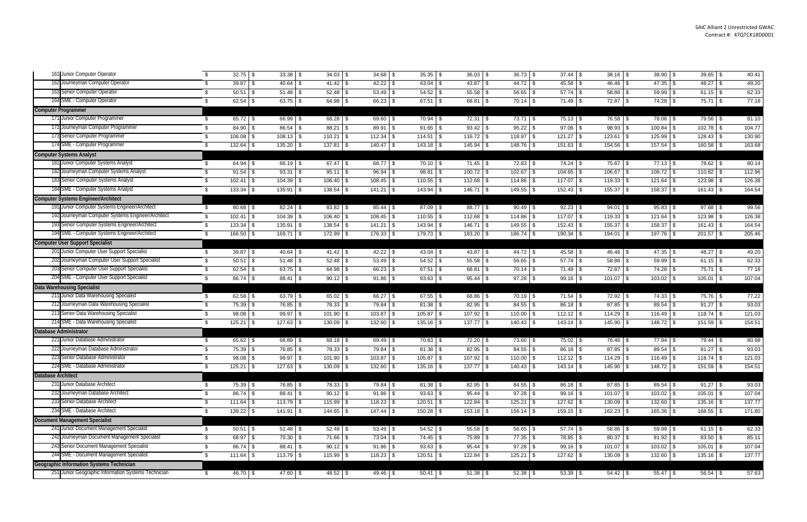| 161 Junior Computer Operator                         |      | $32.75$ \$    | $33.38$ \$             | $34.03$ \$   | $34.68$ \$    | $35.35$ \$               | $36.03$ \$    | $36.73$ \$             |                | $38.16$ \\$    | $38.90$ \$    | $39.65$ \$   | 40.41  |
|------------------------------------------------------|------|---------------|------------------------|--------------|---------------|--------------------------|---------------|------------------------|----------------|----------------|---------------|--------------|--------|
| 162 Journeyman Computer Operator                     |      | 39.87         | 40.64                  |              |               | $43.04$ \\$              | 43.87         | -\$                    |                | $46.46$ \ \ \$ |               | $48.27$ \$   | 49.20  |
| 163 Senior Computer Operator                         |      | 50.51         | 51.48                  |              | 53.49         | $54.52$ \$<br>-\$        | 55.58         | 56.65 \$               | $57.74$ \\$    | 58.86          | 59.99 \$      | $61.15$ \$   | 62.33  |
| 164 SME - Computer Operator                          |      | 62.54         | $63.75$ \$             | $64.98$ \$   | 66.23 \$      | $67.51$ \$               | 68.81         | $70.14$ \$             | $71.49$ \$     | $72.87$ \$     | $74.28$ \$    | 75.71 \$     | 77.18  |
| <b>Computer Programmer</b>                           |      |               |                        |              |               |                          |               |                        |                |                |               |              |        |
| 171 Junior Computer Programmer                       | - \$ | $65.72$ \$    | 66.99 \$               | $68.28$ \$   | $69.60$ \$    | $70.94$ \$               | $72.31$ \\$   | $73.71$ \\$            | $75.13$ \$     | 76.58 \$       | 78.06 \$      | 79.56 \$     | 81.10  |
| 172 Journeyman Computer Programmer                   |      | 84.90         | 86.54                  | $88.21$ \$   | 89.91         | $91.65$ \$               | 93.42         | $95.22$ \$             | 97.06          | $98.93$ \$     | $100.84$ \\$  | 102.78 \$    | 104.77 |
| 173 Senior Computer Programmer                       |      | 106.08        | 108.13                 | $110.21$ \\$ | 112.34        | $114.51$ \$<br><b>\$</b> | $116.72$ \ \$ | $118.97$ \ \$          | $121.27$ \$    | 123.61         | $125.99$ \$   | 128.43       | 130.90 |
| 174 SME - Computer Programmer                        |      | 132.64        | $135.20$ \$            | $137.81$ \$  | $140.47$ \$   | $143.18$ \$              | 145.94        | $148.76$ \ \$          | $151.63$ \$    | $154.56$ \\$   | $157.54$ \\$  | $160.58$ \$  | 163.68 |
| <b>Computer Systems Analyst</b>                      |      |               |                        |              |               |                          |               |                        |                |                |               |              |        |
| 181 Junior Computer Systems Analyst                  |      | $64.94$ \$    | 66.19 \$               | $67.47$ \ \$ | $68.77$ \$    | $70.10$ \$               | $71.45$ \\$   | $72.83$ \$             | $74.24$ \ \ \$ |                | $77.13$ \$    | 78.62        | 80.14  |
| 182 Journeyman Computer Systems Analyst              |      | 91.54         | 93.31                  | $95.11$ \$   | 96.94         | 98.81 \$<br>l \$         | $100.72$ \ \$ | $102.67$ \ \$          | $104.65$ \$    | $106.67$ \ \$  | $108.72$ \$   | 110.82       | 112.96 |
| 183 Senior Computer Systems Analyst                  |      | 102.41        | $104.39$ \ \$          | $106.40$ \$  | $108.45$ \$   | 110.55 \$                | 112.68        | $114.86$ \$            | $117.07$ \\$   |                | $121.64$ \ \$ | $123.98$ \$  | 126.38 |
| 184 SME - Computer Systems Analyst                   |      | 133.34        | 135.91 \$              | $138.54$ \$  | $141.21$ \$   | 143.94 \$                | $146.71$ \\$  | $149.55$ \ \$          | $152.43$ \$    | $155.37$ \$    | $158.37$ \$   | $161.43$ \$  | 164.54 |
| <b>Computer Systems Engineer/Architect</b>           |      |               |                        |              |               |                          |               |                        |                |                |               |              |        |
| 191 Junior Computer Systems Engineer/Architect       | - \$ | $80.68$ \$    | $82.24$ \$             | 83.82 \$     | $85.44$ \\$   | $87.09$ \ \$             | $88.77$ \ \$  | $90.49$ \$             | $92.23$ \$     | $94.01$ \$     | $95.83$ \$    | 97.68        | 99.56  |
| 192 Journeyman Computer Systems Engineer/Architect   | \$   | 102.41        | $104.39$ \ \$          | $106.40$ \$  | $108.45$ \$   | 110.55 \$                | 112.68        | $114.86$ \$            | $117.07$ \\$   |                | $121.64$ \$   | $123.98$ \$  | 126.38 |
| 193 Senior Computer Systems Engineer/Architect       |      | 133.34        | $135.91$ \$            | 138.54 \$    | $141.21$ \$   | $143.94$ \$              | $146.71$ \\$  | 149.55 \$              | $152.43$ \$    | $155.37$ \$    | 158.37 \$     | $161.43$ \$  | 164.54 |
| 194 SME - Computer Systems Engineer/Architect        |      | 166.50 \$     | 169.71 \$              | 172.99 \$    | $176.33$ \$   | 179.73 \$                | $183.20$ \$   | 186.74 \$              | $190.34$ \$    | $194.01$ \$    |               | $201.57$ \$  | 205.46 |
| <b>Computer User Support Specialist</b>              |      |               |                        |              |               |                          |               |                        |                |                |               |              |        |
| 201 Junior Computer User Support Specialist          | - \$ | $39.87$ \$    | $40.64$ \$             | $41.42$ \$   | $42.22$ \$    | $43.04$ \\$              | $43.87$ \$    | $44.72$ \$             | $45.58$ \$     | $46.46$ \$     | $47.35$ \$    | $48.27$ \$   | 49.20  |
| 202 Journeyman Computer User Support Specialist      |      | 50.51         | $51.48$ \\$<br>- \$    |              | $53.49$ \$    |                          | $55.58$ \$    | $56.65$ \$             | $57.74$ \\$    | $58.86$ \ \$   | $59.99$ \$    | $61.15$ \ \$ | 62.33  |
| 203 Senior Computer User Support Specialist          | - \$ | 62.54         | $63.75$ \$             | $64.98$ \$   | 66.23         | $67.51$ \$<br>l \$       | 68.81         | $70.14$ \\$            | $71.49$ \\$    | $72.87$ \$     | 74.28 \$      | $75.71$ \$   | 77.18  |
| 204 SME - Computer User Support Specialist           |      | $86.74$ \$    | $88.41$ \$             | $90.12$ \$   | $91.86$ \$    | $93.63$ \$               | $95.44$ \\$   | $97.28$ \$             | $99.16$ \$     | $101.07$ \$    | $103.02$ \$   | $105.01$ \$  | 107.04 |
| <b>Data Warehousing Specialist</b>                   |      |               |                        |              |               |                          |               |                        |                |                |               |              |        |
| 211 Junior Data Warehousing Specialist               |      | $62.58$ \$    | $63.79$ \$             | $65.02$ \$   | $66.27$ \$    | $67.55$ \$               | 68.86 \$      | $70.19$ \$             | $71.54$ \$     | $72.92$ \$     | $74.33$ \$    | 75.76 \$     | 77.22  |
| 212 Journeyman Data Warehousing Specialist           |      | 75.39         | 76.85 \$               | 78.33 \$     | 79.84         | $81.38$ \$<br>l \$       | 82.95         | $84.55$ \$<br>-\$      | $86.18$ \ \ \$ | $87.85$ \$     | $89.54$ \$    | $91.27$ \$   | 93.03  |
| 213 Senior Data Warehousing Specialist               |      | 98.08         | $99.97$ \$             | 101.90 \$    | 103.87        | $105.87$ \$<br>l \$      | $107.92$ \$   | $110.00$ \$            | $112.12$ \$    |                | $116.49$ \ \$ |              | 121.03 |
| 214 SME - Data Warehousing Specialist                | - \$ | 125.21        | $127.63$ \$            | $130.09$ \$  | 132.60        | 135.16 \$<br>l \$        | 137.77        | $140.43$ \$<br>- \$    | $143.14$ \$    | $145.90$ \$    | $148.72$ \$   | 151.59       | 154.51 |
| <b>Database Administrator</b>                        |      |               |                        |              |               |                          |               |                        |                |                |               |              |        |
| 221 Junior Database Administrator                    | - \$ | $65.62$ \$    | $66.89$ \$             | $68.18$ \$   | 69.49 \$      | $70.83$ \$               | $72.20$ \ \$  | 73.60 \$               | $75.02$ \$     | 76.46 \$       |               | $79.44$ \ \$ | 80.98  |
| 222 Journeyman Database Administrator                |      | 75.39         | 76.85                  | 78.33 \$     | 79.84         | $81.38$ \$<br>-\$        | 82.95         | $84.55$ \$<br>\$       | 86.18 \$       | $87.85$ \$     | $89.54$ \$    | $91.27$ \$   | 93.03  |
| 223 Senior Database Administrator                    |      | 98.08         | 99.97                  | 101.90 \$    | 103.87        | 105.87<br>-\$            | 107.92        | $110.00$ \$            | $112.12$ \$    | $114.29$ \ \$  | $116.49$ \$   | 118.74       | 121.03 |
| 224 SME - Database Administrator                     | P,   | $125.21$ \$   | $\overline{127.63}$ \$ | $130.09$ \$  | $132.60$ \$   | $\overline{135.16}$ \$   |               | $\overline{140.43}$ \$ | $143.14$ \$    | $145.90$ \$    | 148.72 \$     | $151.59$ \$  | 154.51 |
| <b>Database Architect</b>                            |      |               |                        |              |               |                          |               |                        |                |                |               |              |        |
| 231 Junior Database Architect                        | - \$ | $75.39$ \$    | 76.85 \$               | 78.33 \$     | $79.84$ \$    | $81.38$ \$               | $82.95$ \$    | $84.55$ \$             | $86.18$ \$     | $87.85$ \\$    | 89.54 \$      | $91.27$ \$   | 93.03  |
| 232 Journeyman Database Architect                    |      | 86.74         | $88.41$ \$             | $90.12$ \$   | $91.86$ \$    | $93.63$ \$               | $95.44$ \$    | $97.28$ \$             | $99.16$ \$     |                | $103.02$ \$   | $105.01$ \$  | 107.04 |
| 233 Senior Database Architect                        |      | 111.64        | $113.79$ \ \$          | $115.99$ \$  | $118.23$ \$   | $120.51$ \\$             | $122.84$ \\$  | $125.21$ \$            | $127.62$ \$    | $130.09$ \$    | $132.60$ \ \$ | $135.16$ \$  | 137.77 |
| 234 SME - Database Architect                         |      | $139.22$ \$   | $141.91$ \$            | $144.65$ \$  | $147.44$ \ \$ | $150.28$ \$              | $153.18$ \$   | $156.14$ \$            | $159.15$ \$    | $162.23$ \$    | $165.36$ \$   | $168.55$ \$  | 171.80 |
| <b>Document Management Specialist</b>                |      |               |                        |              |               |                          |               |                        |                |                |               |              |        |
| 241 Junior Document Management Specialist            | - \$ | $50.51$ \$    | $51.48$ \$             | $52.48$ \\$  | $53.49$ \$    | $54.52$ \$               | $55.58$ \$    | 56.65 \$               | $57.74$ \\$    | $58.86$ \$     | $59.99$ \$    | $61.15$ \$   | 62.33  |
| 242 Journeyman Document Management Specialist        | \$   | $68.97$ \$    | 70.30 \$               | $71.66$ \$   | $73.04$ \$    | 74.45 \$                 | 75.89 \$      | $77.35$ \$             | 78.85 \$       | $80.37$ \$     | $81.92$ \$    | $83.50$ \$   | 85.11  |
| 243 Senior Document Management Specialist            | S    | $86.74$ \$    | 88.41 \$               | $90.12$ \$   | $91.86$ \$    | $93.63$ \$               | $95.44$ \$    | $97.28$ \$             | $99.16$ \$     | $101.07$ \$    | $103.02$ \$   | $105.01$ \$  | 107.04 |
| 244 SME - Document Management Specialist             | - \$ | $111.64$ \ \$ | $113.79$ \$            | $115.99$ \$  | $118.23$ \$   | $120.51$ \$              | $122.84$ \$   | $125.21$ \$            | $127.62$ \$    | $130.09$ \$    | $132.60$ \$   | $135.16$ \$  | 137.77 |
| Geographic Information Systems Technician            |      |               |                        |              |               |                          |               |                        |                |                |               |              |        |
| 251 Junior Geographic Information Systems Technician | \$   | 46.70 \$      | $47.60$ \$             | 48.52 \$     | 49.46 \$      | $50.41$ \$               | $51.38$ \$    | $52.38$ \$             | $53.39$ \$     | $54.42$ \$     | $55.47$ \$    | $56.54$ \$   | 57.63  |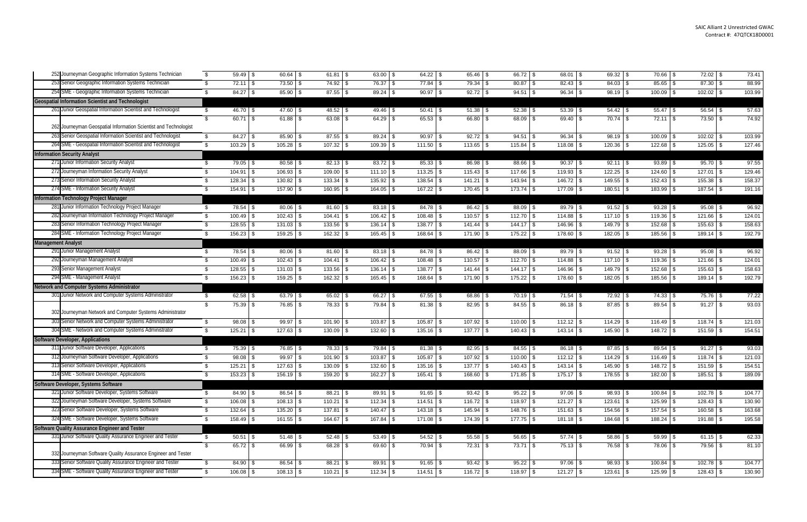| 252 Journeyman Geographic Information Systems Technician                                                      | 59.49 \$<br>\$                 | 60.64                      | 61.81                    | 63.00 \$<br><b>S</b>     | $64.22$ \$                 | 65.46<br>-\$                  | $66.72$ \$               | 68.01 \$                    | $69.32$ \$                   | 70.66                        | $72.02$ \$                   | 73.41            |
|---------------------------------------------------------------------------------------------------------------|--------------------------------|----------------------------|--------------------------|--------------------------|----------------------------|-------------------------------|--------------------------|-----------------------------|------------------------------|------------------------------|------------------------------|------------------|
| 253 Senior Geographic Information Systems Technician                                                          | $72.11$ \\$                    | $73.50$ \$                 | 74.92 \$                 |                          | $77.84$ \$                 | $79.34$ \$                    | $80.87$ \ \ \$           | $82.43$ \$                  | $84.03$ \$                   | $85.65$ \$                   | $87.30$ \$                   | 88.99            |
| 254 SME - Geographic Information Systems Technician                                                           | $84.27$ \$                     | 85.90                      | $87.55$ \$               | $89.24$ \$               | $90.97$ \$                 | $92.72$ \$                    | $94.51$ \$               | $96.34$ \$                  | $98.19$ \$                   | $100.09$ \$                  | $102.02$ \ \$                | 103.99           |
| <b>Geospatial Information Scientist and Technologist</b>                                                      |                                |                            |                          |                          |                            |                               |                          |                             |                              |                              |                              |                  |
| 261 Junior Geospatial Information Scientist and Technologist                                                  | \$<br>$46.70$ \$               | $47.60$ \$                 | $48.52$ \$               | $49.46$ \$               | $50.41$ \$                 |                               |                          | $53.39$ \$                  |                              | $55.47$ \$                   | $56.54$ \ \ \$               | 57.63            |
|                                                                                                               | $60.71$ \$<br>\$               | $61.88$ \$                 | $63.08$ \$               | $64.29$ \$               | $65.53$ \$                 | $66.80$ \$                    | $68.09$ \$               | $69.40$ \$                  | $70.74$ \\$                  | $72.11$ \$                   | $73.50$ \$                   | 74.92            |
| 262 Journeyman Geospatial Information Scientist and Technologist                                              |                                |                            |                          |                          |                            |                               |                          |                             |                              |                              |                              |                  |
| 263 Senior Geospatial Information Scientist and Technologist                                                  | $84.27$ \$<br>\$               | 85.90                      | $87.55$ \$               | $89.24$ \$               | 90.97                      | $92.72$ \$                    | $94.51$ \$               | $96.34$ \$                  | $98.19$ \\$                  | $100.09$ \$                  | $102.02$ \$                  | 103.99           |
| 264 SME - Geospatial Information Scientist and Technologist                                                   | 103.29<br>S.                   | 105.28                     | 107.32                   | $109.39$ \$              | 111.50<br>l S              | 113.65<br>l \$                |                          | $118.08$ \$                 |                              | 122.68                       | 125.05                       | 127.46           |
| <b>Information Security Analyst</b>                                                                           |                                |                            |                          |                          |                            |                               |                          |                             |                              |                              |                              |                  |
| 271 Junior Information Security Analyst                                                                       | $79.05$ \$<br>\$               | $80.58$ \$                 | $82.13$ \$               | $83.72$ \$               | $85.33$ \$                 | $86.98$ \$                    | $88.66$ \ \$             | $90.37$ \$                  | $92.11$ \$                   | $93.89$ \$                   | $95.70$ \$                   | 97.55            |
| 272 Journeyman Information Security Analyst                                                                   | $104.91$ \\$<br>\$             | 106.93                     | 109.00                   | $111.10$ \$              | $113.25$ \$                | $115.43$ \\$                  | $117.66$ \ \$            | $119.93$ \$                 |                              | $124.60$ \$                  | 127.01                       | 129.46           |
| 273 Senior Information Security Analyst                                                                       | 128.34                         | 130.82                     | 133.34                   |                          | $138.54$ \$                | $141.21$ \\$                  | $143.94$ \$              |                             | $149.55$ \$                  |                              | 155.38                       | 158.37           |
| 274 SME - Information Security Analyst                                                                        | 154.91<br>\$.                  | $157.90$ \$<br>l \$        | 160.95                   | 164.05 \$<br>- \$        | 167.22 \$                  | 170.45<br>l \$                | $173.74$ \\$             | $177.09$ \$                 | $180.51$ \$                  | 183.99                       | 187.54 \$                    | 191.16           |
| <b>Information Technology Project Manager</b>                                                                 |                                |                            |                          |                          |                            |                               |                          |                             |                              |                              |                              |                  |
| 281 Junior Information Technology Project Manager                                                             | $78.54$ \\$<br>\$.             | 80.06                      | 81.60                    | $83.18$ \$               | $84.78$ \\$                | $86.42$ \$                    | $88.09$ \$               | 89.79 \$                    | $91.52$ \$                   | $93.28$ \$                   | 95.08                        | 96.92            |
| 282 Journeyman Information Technology Project Manager                                                         | $100.49$ \\$<br>\$             | 102.43                     | 104.41                   | $106.42$ \$              | $108.48$ \$                | $110.57$ \\$                  | $112.70$ \ \$            |                             | $117.10$ \$                  | $119.36$ \ \$                | 121.66                       | 124.01           |
| 283 Senior Information Technology Project Manager                                                             | \$                             | $131.03$ \$                | 133.56                   | $136.14$ \$<br><b>S</b>  | $138.77$ \ \$              | 141.44                        | $144.17$ \\$             | $146.96$ \$                 | $149.79$ \$                  | 152.68 \$                    | $155.63$ \$                  | 158.63           |
| 284 SME - Information Technology Project Manager                                                              | $156.23$ \$                    |                            | $162.32$ \$              | $165.45$ \$              | 168.64 \$                  | 171.90 \$                     | 175.22 \$                | $178.60$ \$                 | $182.05$ \$                  | 185.56 \$                    | $189.14$ \$                  | 192.79           |
| <b>Management Analyst</b>                                                                                     |                                |                            |                          |                          |                            |                               |                          |                             |                              |                              |                              |                  |
| 291 Junior Management Analyst                                                                                 | \$.                            | 80.06                      | 81.60                    | $83.18$ \$               | $84.78$ \\$                |                               | $88.09$ \$               | 89.79 \$                    | $91.52$ \$                   | $93.28$ \$                   | 95.08                        | 96.92            |
| 292 Journeyman Management Analyst                                                                             | $100.49$ \$<br>\$              | 102.43                     | 104.41                   | $106.42$ \$<br>-\$       |                            | 110.57<br>l \$                | $112.70$ \ \$            | $114.88$ \$                 | $117.10$ \ \$                | $119.36$ \$                  | 121.66                       | 124.01           |
| 293 Senior Management Analyst                                                                                 | $128.55$ \$<br>\$              | $131.03$ \$                | $133.56$ \$              | $136.14$ \$              | $138.77$ \ \$              | $141.44$ \\$                  | $144.17$ \\$             | $146.96$ \$                 | $149.79$ \$                  | 152.68 \$                    | $155.63$ \$                  | 158.63           |
| 294 SME - Management Analyst                                                                                  | $156.23$ \$<br>\$              |                            | 162.32                   | $165.45$ \$              | 168.64 \$                  | $171.90$ \\$                  | 175.22 \$                | $178.60$ \ \$               | $182.05$ \$                  | $185.56$ \$                  | $189.14$ \$                  | 192.79           |
| Network and Computer Systems Administrator                                                                    |                                |                            |                          |                          |                            |                               |                          |                             |                              |                              |                              |                  |
| 301 Junior Network and Computer Systems Administrator                                                         | \$                             | $63.79$ \$                 | $65.02$ \$               | $66.27$ \$               | $67.55$ \$                 | $68.86$ \$                    | $70.19$ \$               | $71.54$ \$                  | $72.92$ \$                   | $74.33$ \$                   | 75.76 \$                     | 77.22            |
| 302 Journeyman Network and Computer Systems Administrator                                                     | $75.39$ \$<br>\$               | $76.85$ \$                 | $78.33$ \$               | $79.84$ \$               | $81.38$ \$                 |                               |                          |                             | $87.85$ \$                   | $89.54$ \$                   |                              | 93.03            |
|                                                                                                               |                                |                            |                          |                          |                            |                               |                          |                             |                              |                              |                              |                  |
| 303 Senior Network and Computer Systems Administrator<br>304 SME - Network and Computer Systems Administrator | $98.08$ \$<br>\$               | 99.97                      | 101.90                   |                          | 105.87                     | 107.92                        | $110.00$ \$              | $112.12$ \$                 | $114.29$ \ \$                | $116.49$ \ \$                | $118.74$ \\$                 | 121.03           |
|                                                                                                               | $125.21$ \$                    | 127.63                     | 130.09                   | $132.60$ \$              | $135.16$ \$                | $137.77$ \ \$                 |                          | $143.14$ \\$                | $145.90$ \$                  | $148.72$ \$                  | $151.59$ \$                  | 154.51           |
| <b>Software Developer, Applications</b><br>311 Junior Software Developer, Applications                        |                                |                            |                          |                          |                            |                               |                          |                             |                              |                              |                              |                  |
| 312 Journeyman Software Developer, Applications                                                               | $75.39$ \$<br>\$.              | $76.85$ \$<br>99.97        | $78.33$ \$               | $79.84$ \ \$             |                            | $82.95$ \$                    | $84.55$ \\$              | 86.18 \$                    | $87.85$ \ \ \$               | $89.54$ \$                   | $91.27$ \ \$<br>$118.74$ \\$ | 93.03            |
| 313 Senior Software Developer, Applications                                                                   | $98.08$ \$<br>$125.21$ \$      |                            | 101.90<br>130.09         | $\mathbf{C}$             | 105.87                     | 107.92<br>l \$<br>$137.77$ \$ | $110.00$ \$              | $112.12$ \$<br>$143.14$ \\$ |                              | $116.49$ \ \$<br>$148.72$ \$ | $151.59$ \$                  | 121.03<br>154.51 |
| 314 SME - Software Developer, Applications                                                                    | $153.23$ \$<br>\$              | $127.63$ \$<br>$156.19$ \$ | $159.20$ \$              | $132.60$ \$<br>162.27 \$ | $135.16$ \$<br>$165.41$ \$ | $168.60$ \$                   | $140.43$ \$<br>171.85 \$ | $175.17$ \$                 | $145.90$ \$<br>$178.55$ \ \$ | $182.00$ \$                  | 185.51 \$                    | 189.09           |
| Software Developer, Systems Software                                                                          |                                |                            |                          |                          |                            |                               |                          |                             |                              |                              |                              |                  |
| 321 Junior Software Developer, Systems Software                                                               | $84.90$ \$<br>\$               |                            | $88.21$ \$               | $89.91$ \$               | $91.65$ \$                 | $93.42$ \$                    | $95.22$ \$               | $97.06$ \$                  | $98.93$ \$                   | $100.84$ \$                  | $102.78$ \$                  | 104.77           |
| 322 Journeyman Software Developer, Systems Software                                                           | $106.08$ \$<br>\$              | $108.13$ \$                | $110.21$ \ \$            | $112.34$ \$              | $114.51$ \$                | $116.72$ \$                   | $118.97$ \$              | $121.27$ \$                 |                              | $125.99$ \$                  | $128.43$ \$                  | 130.90           |
| 323 Senior Software Developer, Systems Software                                                               | $132.64$ \$<br>\$              | $135.20$ \$                | $137.81$ \$              | $140.47$ \$              | $143.18$ \$                | $145.94$ \$                   | $148.76$ \$              | $151.63$ \$                 | $154.56$ \$                  | $157.54$ \$                  | $160.58$ \$                  | 163.68           |
| 324 SME - Software Developer, Systems Software                                                                | $158.49$ \$<br>S.              | $161.55$ \$                | 164.67 \$                | 167.84 \$                | $171.08$ \$                | $174.39$ \$                   | $177.75$ \$              | $181.18$ \$                 | 184.68 \$                    | 188.24 \$                    | $191.88$ \$                  | 195.58           |
| Software Quality Assurance Engineer and Tester                                                                |                                |                            |                          |                          |                            |                               |                          |                             |                              |                              |                              |                  |
| 331 Junior Software Quality Assurance Engineer and Tester                                                     | \$                             |                            |                          |                          | $54.52$ \$                 |                               | $56.65$ \$               |                             |                              | $59.99$ \$                   |                              |                  |
|                                                                                                               | $50.51$ \$<br>$65.72$ \$<br>\$ | $66.99$ \$                 | $52.48$ \$<br>$68.28$ \$ | $53.49$ \$<br>69.60 \$   | 70.94 \$                   | $55.58$ \$<br>$72.31$ \\$     | $73.71$ \$               | $57.74$ \$<br>$75.13$ \$    | $58.86$ \$<br>76.58 \$       | 78.06 \$                     | $61.15$ \$<br>$79.56$ \$     | 62.33<br>81.10   |
| 332 Journeyman Software Quality Assurance Engineer and Tester                                                 |                                |                            |                          |                          |                            |                               |                          |                             |                              |                              |                              |                  |
| 333 Senior Software Quality Assurance Engineer and Tester                                                     | $84.90$ \$<br>S.               |                            | $88.21$ \$               | $89.91$ \$               | $91.65$ \$                 | $93.42$ \$                    | $95.22$ \$               | $97.06$ \$                  | $98.93$ \$                   | $100.84$ \ \ \$              | $102.78$ \$                  | 104.77           |
| 334 SME - Software Quality Assurance Engineer and Tester                                                      | $106.08$ \$<br>\$              | $108.13$ \$                | $110.21$ \$              | $112.34$ \$              | $114.51$ \$                | $116.72$ \$                   | $118.97$ \$              | $121.27$ \$                 | $123.61$ \$                  | $125.99$ \$                  | $128.43$ \$                  |                  |
|                                                                                                               |                                |                            |                          |                          |                            |                               |                          |                             |                              |                              |                              | 130.90           |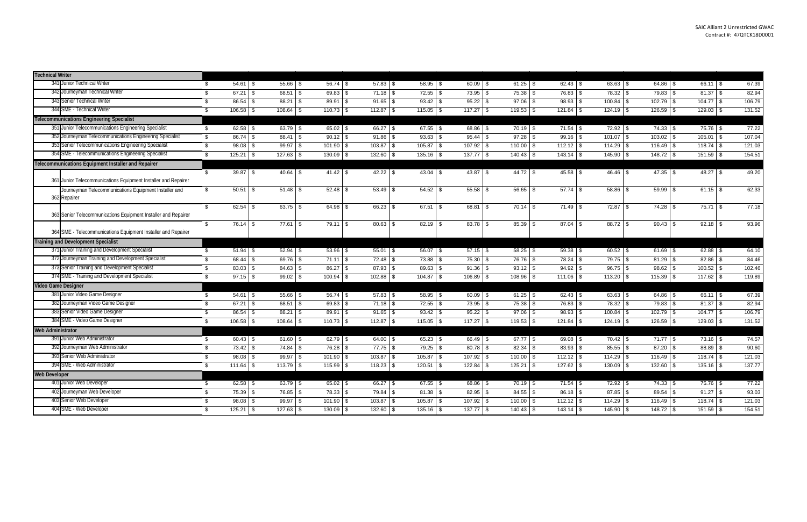| <b>Technical Writer</b>                                               |                    |      |                |                |               |              |               |                                                                               |                  |                     |               |               |        |
|-----------------------------------------------------------------------|--------------------|------|----------------|----------------|---------------|--------------|---------------|-------------------------------------------------------------------------------|------------------|---------------------|---------------|---------------|--------|
| 341 Junior Technical Writer                                           | $54.61$ \\$<br>\$. |      | $55.66$ \$     | $56.74$ \$     | $57.83$ \$    | $58.95$ \$   | $60.09$ \$    | $61.25$ \$                                                                    |                  | $63.63$ \$          | $64.86$ \$    | $66.11$ \$    | 67.39  |
| 342 Journeyman Technical Writer                                       | $67.21$ \$<br>\$.  |      | $68.51$ \$     | 69.83          | $71.18$ \$    | $72.55$ \\$  | $73.95$ \$    | 75.38 \$                                                                      |                  | $78.32$ \$          | $79.83$ \$    | $81.37$ \$    | 82.94  |
| 343 Senior Technical Writer                                           | 86.54<br>\$        |      | $88.21$ \$     | 89.91          | 91.65<br>- \$ | $93.42$ \$   | $95.22$ \$    | $97.06$ \$                                                                    | 98.93            | $100.84$ \ \$<br>\$ | $102.79$ \$   | $104.77$ \ \$ | 106.79 |
| 344 SME - Technical Writer                                            | \$                 |      | $108.64$ \$    | $110.73$ \$    | $112.87$ \\$  | $115.05$ \$  |               | $119.53$ \$                                                                   | $121.84$ \$      | $124.19$ \$         | $126.59$ \$   |               | 131.52 |
| <b>Telecommunications Engineering Specialist</b>                      |                    |      |                |                |               |              |               |                                                                               |                  |                     |               |               |        |
| 351 Junior Telecommunications Engineering Specialist                  | \$                 |      | $63.79$ \$     | $65.02$ \$     | $66.27$ \$    | $67.55$ \$   | 68.86 \$      | $70.19$ \$                                                                    | $71.54$ \$       | $72.92$ \$          | $74.33$ \$    | 75.76 \$      | 77.22  |
| 352 Journeyman Telecommunications Engineering Specialist              | $86.74$ \$<br>\$   |      | $88.41$ \ \$   | $90.12$ \$     | 91.86<br>  S  | $93.63$ \$   | $95.44$ \\$   | $97.28$ \$                                                                    | $99.16$ \$       | $101.07$ \$         | $103.02$ \$   | $105.01$ \\$  | 107.04 |
| 353 Senior Telecommunications Engineering Specialist                  | $98.08$ \$<br>\$   |      | $99.97$ \$     | $101.90$ \$    | $103.87$ \$   | $105.87$ \$  | $107.92$ \$   | $110.00$ \$                                                                   |                  | $114.29$ \ \$       | $116.49$ \ \$ | $118.74$ \$   | 121.03 |
| 354 SME - Telecommunications Engineering Specialist                   | $125.21$ \$<br>\$  |      | $127.63$ \$    | 130.09<br>- \$ | $132.60$ \$   | $135.16$ \$  | $137.77$ \$   | $140.43$ \\$                                                                  | $143.14$ \\$     | 145.90 \$           | $148.72$ \$   | 151.59 \$     | 154.51 |
| Telecommunications Equipment Installer and Repairer                   |                    |      |                |                |               |              |               |                                                                               |                  |                     |               |               |        |
| 361 Junior Telecommunications Equipment Installer and Repairer        | \$<br>$39.87$ \$   |      | $40.64$ \ \ \$ |                | $42.22$ \$    | $43.04$ \$   |               | 44.72 \$                                                                      | $45.58$ \$       | $46.46$ \ \$        | $47.35$ \$    | $48.27$ \$    | 49.20  |
| Journeyman Telecommunications Equipment Installer and<br>362 Repairer | $50.51$ \$<br>\$   |      | $51.48$ \\$    |                | $53.49$ \$    | $54.52$ \$   | $55.58$ \$    | $56.65$ \$                                                                    | $57.74$ \ \ \$   | $58.86$ \$          | $59.99$ \$    | $61.15$ \$    | 62.33  |
| 363 Senior Telecommunications Equipment Installer and Repairer        | \$                 |      | $63.75$ \$     | $64.98$ \$     | $66.23$ \$    | $67.51$ \$   | 68.81 \$      | $70.14$ \\$                                                                   | $71.49$ \$       |                     |               | $75.71$ \$    | 77.18  |
| 364 SME - Telecommunications Equipment Installer and Repairer         | $76.14$ \\$<br>\$  |      | $77.61$ \\$    | $79.11$ \\$    | $80.63$ \$    | $82.19$ \ \$ | $83.78$ \$    | 85.39 \$                                                                      | $87.04$ \ \ \$   | 88.72 \$            | $90.43$ \$    |               | 93.96  |
| <b>Training and Development Specialist</b>                            |                    |      |                |                |               |              |               |                                                                               |                  |                     |               |               |        |
| 371 Junior Training and Development Specialist                        | $51.94$ \\$<br>\$  |      | $52.94$ \$     | 53.96<br>- \$  | $55.01$ \$    | 56.07 \$     | $57.15$ \$    | $58.25$ \$                                                                    | $59.38$ \$       | $60.52$ \$          | $61.69$ \$    | $62.88$ \$    | 64.10  |
| 372 Journeyman Training and Development Specialist                    | 68.44<br>\$        | l Si | $69.76$ \$     | 71.11<br>- \$  | 72.48         | 73.88 \$     | 75.30 \$      | 76.76 \$                                                                      | 78.24            | $79.75$ \$<br>l \$  | $81.29$ \$    | $82.86$ \$    | 84.46  |
| 373 Senior Training and Development Specialist                        | $83.03$ \$<br>\$   |      | $84.63$ \$     | 86.27<br>l \$  | $87.93$ \$    | $89.63$ \$   | $91.36$ \$    | $93.12$ \$                                                                    | $94.92 \quad$ \$ | $96.75$ \$          | $98.62$ \$    | $100.52$ \$   | 102.46 |
| 374 SME - Training and Development Specialist                         | $97.15$ \$<br>\$.  |      | $99.02$ \$     | 100.94         | $102.88$ \$   | $104.87$ \\$ | $106.89$ \ \$ | 108.96 \$                                                                     | $111.06$ \ \$    | $113.20$ \$         | $115.39$ \$   | $117.62$ \$   | 119.89 |
| Video Game Designer                                                   |                    |      |                |                |               |              |               |                                                                               |                  |                     |               |               |        |
| 381 Junior Video Game Designer                                        | $54.61$ \$<br>\$   |      | $55.66$ \$     | $56.74$ \$     | $57.83$ \$    | 58.95 \$     | $60.09$ \$    | $61.25$ \$                                                                    | $62.43$ \$       | 63.63 \$            | $64.86$ \$    | $66.11$ \$    | 67.39  |
| 382 Journeyman Video Game Designer                                    | \$                 |      | $68.51$ \$     | $69.83$ \$     | $71.18$ \$    | $72.55$ \$   | $73.95$ \$    | 75.38 \$                                                                      | 76.83 \$         | $78.32$ \$          | $79.83$ \$    |               | 82.94  |
| 383 Senior Video Game Designer                                        | $86.54$ \$<br>S.   |      | $88.21$ \$     | 89.91<br>- \$  | $91.65$ \$    | $93.42$ \$   | $95.22$ \$    | $97.06$ \$                                                                    | $98.93$ \$       | $100.84$ \$         | $102.79$ \$   |               | 106.79 |
| 384 SME - Video Game Designer                                         | \$                 |      |                | $110.73$ \$    |               | $115.05$ \\$ | $117.27$ \$   | $119.53$ \$                                                                   | $121.84$ \$      |                     | $126.59$ \$   |               | 131.52 |
| <b>Web Administrator</b>                                              |                    |      |                |                |               |              |               |                                                                               |                  |                     |               |               |        |
| 391 Junior Web Administrator                                          | $60.43$ \$         |      | $61.60$ \$     | $62.79$ \$     | $64.00$ \ \$  | $65.23$ \$   | $66.49$ \$    | 67.77 \$                                                                      | $69.08$ \$       |                     | $71.77$ \ \$  | $73.16$ \$    | 74.57  |
| 392 Journeyman Web Administrator                                      | $73.42$ \$<br>\$.  |      | 74.84 \$       | 76.28<br>- \$  | $77.75$ \\$   | 79.25 \$     | $80.78$ \$    | $82.34$ \\$                                                                   | $83.93$ \$       | $85.55$ \$          | $87.20$ \$    | $88.89$ \$    | 90.60  |
| 393 Senior Web Administrator                                          | $98.08$ \$<br>\$.  |      | $99.97$ \$     | 101.90         |               | 105.87       | $107.92$ \$   | 110.00<br>l \$                                                                | $112.12$ \$      | $114.29$ \$         | $116.49$ \ \$ | $118.74$ \$   | 121.03 |
| 394 SME - Web Administrator                                           | $111.64$ \$        |      | $113.79$ \$    | 115.99         | $118.23$ \$   | 120.51<br>ΙΨ | $122.84$ \$   | $\begin{array}{ c c c c }\n\hline\n125.21 & \text{\$} \\ \hline\n\end{array}$ | $127.62$ \$      | 130.09 \$           | 132.60        | $135.16$ \$   | 137.77 |
| <b>Web Developer</b>                                                  |                    |      |                |                |               |              |               |                                                                               |                  |                     |               |               |        |
| 401 Junior Web Developer                                              | \$                 |      | $63.79$ \$     | $65.02$ \$     | $66.27$ \$    | $67.55$ \$   | $68.86$ \$    | $70.19$ \$                                                                    | $71.54$ \$       | $72.92$ \$          | $74.33$ \$    | 75.76 \$      | 77.22  |
| 402 Journeyman Web Developer                                          | $75.39$ \$<br>\$   |      |                | $78.33$ \$     | $79.84$ \$    |              | $82.95$ \$    | 84.55 \$                                                                      | $86.18$ \$       | $87.85$ \$          | $89.54$ \$    | $91.27$ \$    | 93.03  |
| 403 Senior Web Developer                                              | $98.08$ \$<br>\$   |      | $99.97$ \$     | $101.90$ \$    | $103.87$ \$   | $105.87$ \$  |               | $110.00$ \$                                                                   |                  | $114.29$ \ \$       | $116.49$ \ \$ |               | 121.03 |
| 404 SME - Web Developer                                               | $125.21$ \$<br>\$  |      | $127.63$ \$    | $130.09$ \$    | $132.60$ \$   | $135.16$ \\$ | $137.77$ \ \$ | $140.43$ \$                                                                   | $143.14$ \$      | $145.90$ \$         | $148.72$ \$   | $151.59$ \$   | 154.51 |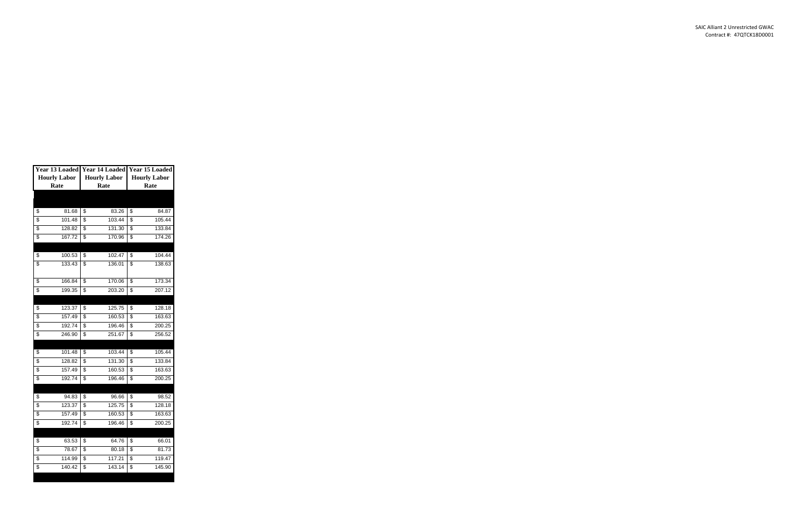| Year 13 Loaded      |                     | Year 14 Loaded Year 15 Loaded |                     |  |  |
|---------------------|---------------------|-------------------------------|---------------------|--|--|
| <b>Hourly Labor</b> | <b>Hourly Labor</b> |                               | <b>Hourly Labor</b> |  |  |
| Rate                | Rate                |                               | Rate                |  |  |
|                     |                     |                               |                     |  |  |
|                     |                     |                               |                     |  |  |
| \$<br>81.68         | \$<br>83.26         | \$                            | 84.87               |  |  |
| \$<br>101.48        | \$<br>103.44        | \$                            | 105.44              |  |  |
| \$<br>128.82        | \$<br>131.30        | \$                            | 133.84              |  |  |
| \$<br>167.72        | \$<br>170.96        | \$                            | 174.26              |  |  |
|                     |                     |                               |                     |  |  |
| \$<br>100.53        | \$<br>102.47        | \$                            | 104.44              |  |  |
| \$<br>133.43        | \$<br>136.01        | \$                            | 138.63              |  |  |
|                     |                     |                               |                     |  |  |
| \$<br>166.84        | \$<br>170.06        | \$                            | 173.34              |  |  |
| \$<br>199.35        | \$<br>203.20        | \$                            | 207.12              |  |  |
|                     |                     |                               |                     |  |  |
| \$<br>123.37        | \$<br>125.75        | \$                            | 128.18              |  |  |
| \$<br>157.49        | \$<br>160.53        | \$                            | 163.63              |  |  |
| \$<br>192.74        | \$<br>196.46        | \$                            | 200.25              |  |  |
| \$<br>246.90        | \$<br>251.67        | \$                            | 256.52              |  |  |
|                     |                     |                               |                     |  |  |
| \$<br>101.48        | \$<br>103.44        | \$                            | 105.44              |  |  |
| \$<br>128.82        | \$<br>131.30        | \$                            | 133.84              |  |  |
| \$<br>157.49        | \$<br>160.53        | \$                            | 163.63              |  |  |
| \$<br>192.74        | \$<br>196.46        | \$                            | 200.25              |  |  |
|                     |                     |                               |                     |  |  |
| \$<br>94.83         | \$<br>96.66         | \$                            | 98.52               |  |  |
| \$<br>123.37        | \$<br>125.75        | \$                            | 128.18              |  |  |
| \$<br>157.49        | \$<br>160.53        | \$                            | 163.63              |  |  |
| \$<br>192.74        | \$<br>196.46        | \$                            | 200.25              |  |  |
|                     |                     |                               |                     |  |  |
| \$<br>63.53         | \$<br>64.76         | \$                            | 66.01               |  |  |
| \$<br>78.67         | \$<br>80.18         | \$                            | 81.73               |  |  |
| \$<br>114.99        | \$<br>117.21        | \$                            | 119.47              |  |  |
| \$<br>140.42        | \$<br>143.14        | \$                            | 145.90              |  |  |
|                     |                     |                               |                     |  |  |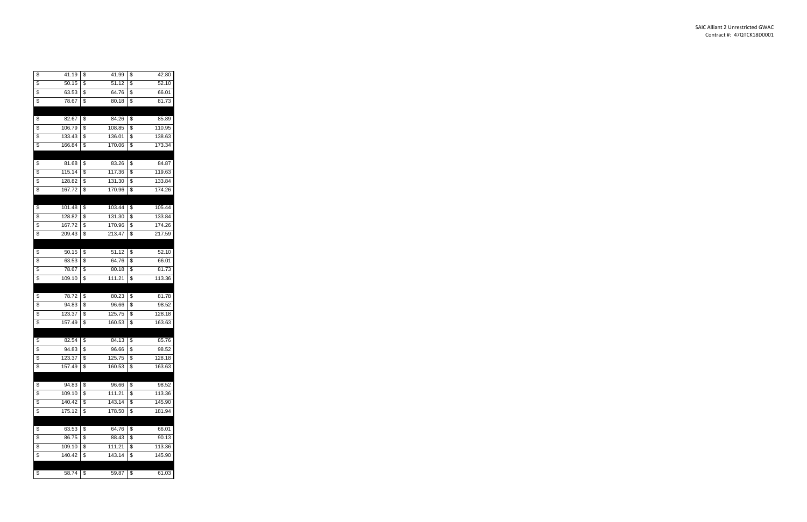| \$<br>41.19  | \$<br>41.99  | \$<br>42.80  |
|--------------|--------------|--------------|
| \$<br>50.15  | \$<br>51.12  | \$<br>52.10  |
| \$<br>63.53  | \$<br>64.76  | \$<br>66.01  |
| \$<br>78.67  | \$<br>80.18  | \$<br>81.73  |
|              |              |              |
| \$<br>82.67  | \$<br>84.26  | \$<br>85.89  |
| \$<br>106.79 | \$<br>108.85 | \$<br>110.95 |
| \$<br>133.43 | \$<br>136.01 | \$<br>138.63 |
| \$<br>166.84 | \$<br>170.06 | \$<br>173.34 |
|              |              |              |
| \$<br>81.68  | \$<br>83.26  | \$<br>84.87  |
| \$<br>115.14 | \$<br>117.36 | \$<br>119.63 |
| \$<br>128.82 | \$<br>131.30 | \$<br>133.84 |
| \$<br>167.72 | \$<br>170.96 | \$<br>174.26 |
|              |              |              |
| \$<br>101.48 | \$<br>103.44 | \$<br>105.44 |
| \$<br>128.82 | \$<br>131.30 | \$<br>133.84 |
| \$<br>167.72 | \$<br>170.96 | \$<br>174.26 |
| \$<br>209.43 | \$<br>213.47 | \$<br>217.59 |
|              |              |              |
| \$<br>50.15  | \$<br>51.12  | \$<br>52.10  |
| \$<br>63.53  | \$<br>64.76  | \$<br>66.01  |
| \$<br>78.67  | \$<br>80.18  | \$<br>81.73  |
| \$<br>109.10 | \$<br>111.21 | \$<br>113.36 |
|              |              |              |
| \$<br>78.72  | \$<br>80.23  | \$<br>81.78  |
| \$<br>94.83  | \$<br>96.66  | \$<br>98.52  |
| \$<br>123.37 | \$<br>125.75 | \$<br>128.18 |
| \$<br>157.49 | \$<br>160.53 | \$<br>163.63 |
|              |              |              |
| \$<br>82.54  | \$<br>84.13  | \$<br>85.76  |
| \$<br>94.83  | \$<br>96.66  | \$<br>98.52  |
| \$<br>123.37 | \$<br>125.75 | \$<br>128.18 |
| \$<br>157.49 | \$<br>160.53 | \$<br>163.63 |
|              |              |              |
| \$<br>94.83  | \$<br>96.66  | \$<br>98.52  |
| \$<br>109.10 | \$<br>111.21 | \$<br>113.36 |
| \$<br>140.42 | \$<br>143.14 | \$<br>145.90 |
| \$<br>175.12 | \$<br>178.50 | \$<br>181.94 |
|              |              |              |
| \$<br>63.53  | \$<br>64.76  | \$<br>66.01  |
| \$<br>86.75  | \$<br>88.43  | \$<br>90.13  |
| \$<br>109.10 | \$<br>111.21 | \$<br>113.36 |
| \$<br>140.42 | \$<br>143.14 | \$<br>145.90 |
|              |              |              |
| \$<br>58.74  | \$<br>59.87  | \$<br>61.03  |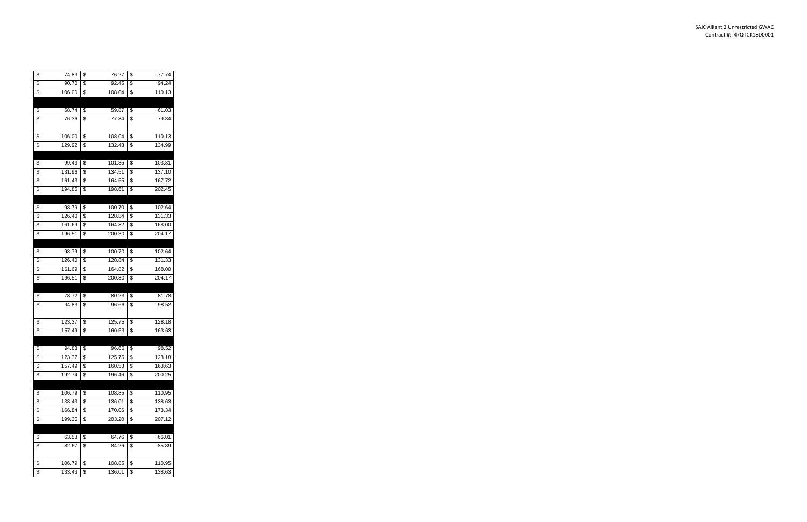| \$              | 74.83  | \$<br>76.27            | \$<br>77.74            |
|-----------------|--------|------------------------|------------------------|
| \$              | 90.70  | \$<br>92.45            | \$<br>94.24            |
| \$              | 106.00 | \$<br>108.04           | \$<br>110.13           |
|                 |        |                        |                        |
| \$              | 58.74  | \$<br>59.87            | \$<br>61.03            |
| \$              | 76.36  | \$<br>77.84            | \$<br>79.34            |
|                 |        |                        |                        |
| \$              | 106.00 | \$<br>108.04           | \$<br>110.13           |
| $\overline{\$}$ | 129.92 | \$<br>132.43           | \$<br>134.99           |
|                 |        |                        |                        |
| \$              | 99.43  | \$<br>101.35           | \$<br>103.31           |
| \$              | 131.96 | \$<br>134.51           | \$<br>137.10           |
| \$              | 161.43 | \$<br>164.55           | \$<br>167.72           |
| \$              | 194.85 | \$<br>198.61           | \$<br>202.45           |
|                 |        |                        |                        |
| \$              | 98.79  | \$<br>100.70           | \$<br>102.64           |
| \$              | 126.40 | \$<br>128.84           | \$<br>131.33           |
| \$              | 161.69 | \$<br>164.82           | \$<br>168.00           |
| \$              | 196.51 | \$<br>200.30           | \$<br>204.17           |
|                 |        |                        |                        |
| \$              | 98.79  | \$<br>100.70           | \$<br>102.64           |
| \$              | 126.40 | \$<br>128.84           | \$<br>131.33           |
| \$              | 161.69 | \$<br>164.82           | \$<br>168.00           |
| \$              | 196.51 | \$<br>200.30           | \$<br>204.17           |
|                 |        |                        |                        |
| \$              | 78.72  | \$<br>80.23            | \$<br>81.78            |
| \$              | 94.83  | \$<br>96.66            | \$<br>98.52            |
|                 |        |                        |                        |
| \$              | 123.37 | \$<br>125.75           | \$<br>128.18           |
| \$              | 157.49 | \$<br>160.53           | \$<br>163.63           |
|                 |        |                        |                        |
| \$              | 94.83  | \$<br>96.66            | \$<br>98.52            |
| \$              | 123.37 | \$<br>125.75           | \$<br>128.18           |
| \$              | 157.49 | \$<br>160.53           | \$<br>163.63           |
| \$              | 192.74 | \$<br>196.46           | \$<br>200.25           |
|                 |        |                        |                        |
| \$              | 106.79 | \$<br>108.85           | \$<br>110.95           |
| \$              | 133.43 | \$<br>136.01           | \$<br>138.63           |
| \$              |        | \$<br>170.06           | \$<br>173.34           |
|                 | 166.84 |                        |                        |
| \$              | 199.35 | \$<br>203.20           | \$<br>207.12           |
|                 |        |                        |                        |
| \$              | 63.53  | \$<br>64.76            | \$<br>66.01            |
| \$              | 82.67  | \$<br>84.26            | \$<br>85.89            |
|                 |        |                        |                        |
| \$              | 106.79 | \$<br>108.85<br>136.01 | \$<br>110.95<br>138.63 |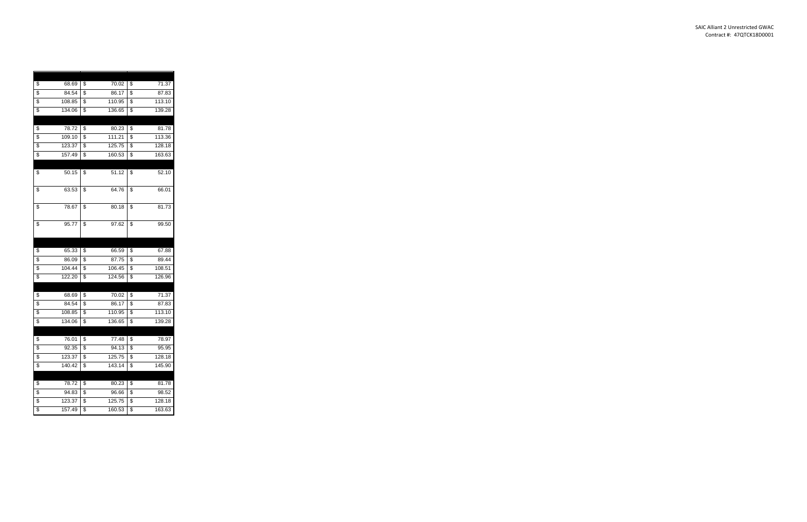| \$<br>68.69  | \$<br>70.02  | \$<br>71.37  |
|--------------|--------------|--------------|
| \$<br>84.54  | \$<br>86.17  | \$<br>87.83  |
| \$<br>108.85 | \$<br>110.95 | \$<br>113.10 |
| \$<br>134.06 | \$<br>136.65 | \$<br>139.28 |
|              |              |              |
| \$<br>78.72  | \$<br>80.23  | \$<br>81.78  |
| \$<br>109.10 | \$<br>111.21 | \$<br>113.36 |
| \$<br>123.37 | \$<br>125.75 | \$<br>128.18 |
| \$<br>157.49 | \$<br>160.53 | \$<br>163.63 |
|              |              |              |
| \$<br>50.15  | \$<br>51.12  | \$<br>52.10  |
|              |              |              |
| \$<br>63.53  | \$<br>64.76  | \$<br>66.01  |
|              |              |              |
| \$<br>78.67  | \$<br>80.18  | \$<br>81.73  |
|              |              |              |
| \$<br>95.77  | \$<br>97.62  | \$<br>99.50  |
|              |              |              |
|              |              |              |
|              |              |              |
| \$<br>65.33  | \$<br>66.59  | \$<br>67.88  |
| \$<br>86.09  | \$<br>87.75  | \$<br>89.44  |
| \$<br>104.44 | \$<br>106.45 | \$<br>108.51 |
| \$<br>122.20 | \$<br>124.56 | \$<br>126.96 |
|              |              |              |
| \$<br>68.69  | \$<br>70.02  | \$<br>71.37  |
| \$<br>84.54  | \$<br>86.17  | \$<br>87.83  |
| \$<br>108.85 | \$<br>110.95 | \$<br>113.10 |
| \$<br>134.06 | \$<br>136.65 | \$<br>139.28 |
|              |              |              |
| \$<br>76.01  | \$<br>77.48  | \$<br>78.97  |
| \$<br>92.35  | \$<br>94.13  | \$<br>95.95  |
| \$<br>123.37 | \$<br>125.75 | \$<br>128.18 |
| \$<br>140.42 | \$<br>143.14 | \$<br>145.90 |
|              |              |              |
| \$<br>78.72  | \$<br>80.23  | \$<br>81.78  |
| \$<br>94.83  | \$<br>96.66  | \$<br>98.52  |
| \$<br>123.37 | \$<br>125.75 | \$<br>128.18 |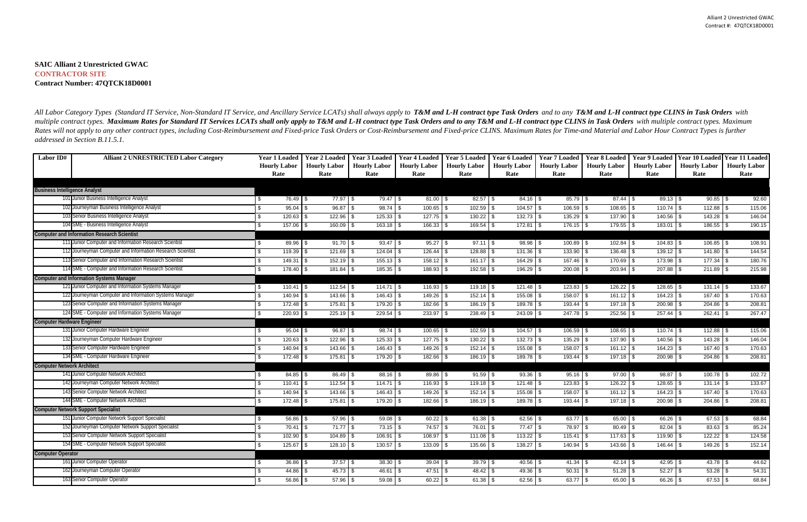# **SAIC Alliant 2 Unrestricted GWAC CONTRACTOR SITE Contract Number: 47QTCK18D0001**

| Labor ID#                            | <b>Alliant 2 UNRESTRICTED Labor Category</b>              | <b>Year 1 Loaded</b>        | <b>Year 2 Loaded</b> | Year 3 Loaded       | <b>Year 4 Loaded</b> | <b>Year 5 Loaded</b>                | <b>Year 6 Loaded</b> | <b>Year 7 Loaded</b> | <b>Year 8 Loaded</b> | <b>Year 9 Loaded</b>              |                     | Year 10 Loaded Year 11 Loaded |
|--------------------------------------|-----------------------------------------------------------|-----------------------------|----------------------|---------------------|----------------------|-------------------------------------|----------------------|----------------------|----------------------|-----------------------------------|---------------------|-------------------------------|
|                                      |                                                           | <b>Hourly Labor</b>         | <b>Hourly Labor</b>  | <b>Hourly Labor</b> | <b>Hourly Labor</b>  | <b>Hourly Labor</b>                 | <b>Hourly Labor</b>  | <b>Hourly Labor</b>  | <b>Hourly Labor</b>  | <b>Hourly Labor</b>               | <b>Hourly Labor</b> | <b>Hourly Labor</b>           |
|                                      |                                                           | Rate                        | Rate                 | Rate                | Rate                 | Rate                                | Rate                 | Rate                 | Rate                 | Rate                              | Rate                | Rate                          |
|                                      |                                                           |                             |                      |                     |                      |                                     |                      |                      |                      |                                   |                     |                               |
| <b>Business Intelligence Analyst</b> |                                                           |                             |                      |                     |                      |                                     |                      |                      |                      |                                   |                     |                               |
|                                      | 101 Junior Business Intelligence Analyst                  | 76.49 \$<br>\$              | $77.97$ \\$          | $79.47$ \\$         | $81.00$ \$           | $82.57$ \$                          | $84.16$ \$           | $85.79$ \$           |                      | $89.13$ \$                        |                     | 92.60                         |
|                                      | 102 Journeyman Business Intelligence Analyst              | \$<br>95.04                 | $96.87$ \\$          | $98.74$ \$          |                      | $102.59$ \ \$                       |                      | $106.59$ \$          | 108.65               | \$<br>$110.74$ \$                 | 112.88              | 115.06<br>l \$                |
|                                      | 103 Senior Business Intelligence Analyst                  | \$<br>120.63                |                      | $125.33$ \\$        | $127.75$ \$          | $130.22$ \$                         | $132.73$ \$          | $135.29$ \$          | 137.90               | $140.56$ \$<br>$\mathbf{\hat{s}}$ | $143.28$ \$         | 146.04                        |
|                                      | 104 SME - Business Intelligence Analyst                   | $\mathbb{S}$<br>$157.06$ \$ | $160.09$ \ \$        | $163.18$ \\$        | $166.33$ \$          | $169.54$ \$                         | $172.81$ \\$         | $176.15$ \$          | $179.55$ \ \$        | $183.01$ \$                       | $186.55$ \$         | 190.15                        |
|                                      | <b>Computer and Information Research Scientist</b>        |                             |                      |                     |                      |                                     |                      |                      |                      |                                   |                     |                               |
|                                      | 111 Junior Computer and Information Research Scientist    | \$<br>89.96 \$              | $91.70$ \$           | $93.47$ \$          | $95.27$ \$           | $97.11$ \$                          | $98.98$ \$           | 100.89 \$            | 102.84               | $104.83$ \$<br>l \$               | $106.85$ \$         | 108.91                        |
|                                      | 12 Journeyman Computer and Information Research Scientist | \$.<br>119.39               | $121.69$ \ \$        | $124.04$ \$         | 126.44               | $128.88$ \$<br><b>S</b>             | $131.36$ \$          | $133.90$ \$          | 136.48               | \$<br>$139.12$ \$                 | 141.80              | 144.54<br>l \$                |
|                                      | 13 Senior Computer and Information Research Scientis      | \$<br>149.31                | $152.19$ \\$         | $155.13$ \\$        | $158.12$ \$          | $161.17$ \$                         | $164.29$ \ \$        | $167.46$ \ \$        | 170.69               | $\sqrt{3}$<br>$173.98$ \$         | $177.34$ \\$        | 180.76                        |
|                                      | 114 SME - Computer and Information Research Scientist     | \$<br>178.40 \$             | $181.84$ \ \$        | $185.35$ \$         | $188.93$ \$          |                                     | $196.29$ \$          | $200.08$ \$          | 203.94               | \$<br>207.88 \$                   |                     | 215.98                        |
|                                      | <b>Computer and Information Systems Manager</b>           |                             |                      |                     |                      |                                     |                      |                      |                      |                                   |                     |                               |
|                                      | 121 Junior Computer and Information Systems Manager       | $110.41$ \\$<br>\$          |                      | $114.71$ \\$        | $116.93$ \$          |                                     |                      | $123.83$ \$          | $126.22$ \$          | $128.65$ \$                       | $131.14$ \$         | 133.67                        |
|                                      | 122 Journeyman Computer and Information Systems Manager   | 140.94                      | $143.66$ \ \$        |                     | 149.26               | \$                                  | 155.08               | 158.07<br>\$.        | 161.12<br>l \$       | \$<br>164.23                      | 167.40<br>l \$      | 170.63<br>$\sqrt{3}$          |
|                                      | 123 Senior Computer and Information Systems Manager       | 172.48 \$                   | 175.81 \$            | 179.20 \$           | 182.66               | $\mathbf{\hat{s}}$<br>$186.19$ \ \$ | $189.78$ \$          | 193.44               | 197.18<br>l \$       | 200.98<br><b>S</b>                | 204.86<br>- 9       | 208.81<br>\$                  |
|                                      | 124 SME - Computer and Information Systems Manager        | $220.93$ \$<br>\$.          | $225.19$ \\$         | $229.54$ \$         | $233.97$ \\$         | $238.49$ \$                         | $243.09$ \$          | $247.78$ \\$         | $252.56$ \$          | $257.44$ \$                       | $262.41$ \\$        | 267.47                        |
| <b>Computer Hardware Engineer</b>    |                                                           |                             |                      |                     |                      |                                     |                      |                      |                      |                                   |                     |                               |
|                                      | 131 Junior Computer Hardware Engineer                     | $95.04$ \$                  | $96.87$ \$           | $98.74$ \\$         | $100.65$ \$          | $102.59$ \$                         | $104.57$ \ \$        | 106.59 \$            | $108.65$ \$          | $110.74$ \$                       |                     | 115.06                        |
|                                      | 132 Journeyman Computer Hardware Engineer                 | 120.63<br>\$.               | $122.96$ \$          | $125.33$ \\$        | $127.75$ \\$         | $130.22$ \$                         | $132.73$ \\$         | $135.29$ \ \$        | 137.90               | <b>S</b><br>$140.56$ \\$          | 143.28              | 146.04<br>l \$                |
|                                      | 133 Senior Computer Hardware Engineer                     | \$<br>140.94                |                      |                     | $149.26$ \$          | $152.14$ \\$                        | 155.08               | 158.07<br>-\$        | $161.12$ \$<br>l \$  | 164.23                            | 167.40<br>l \$      | 170.63<br>l \$                |
|                                      | 134 SME - Computer Hardware Engineer                      | 172.48<br>\$                | $175.81$ \\$         | $179.20$ \ \$       | $182.66$ \ \$        | $186.19$ \$                         | $189.78$ \$          | $193.44$ \ \$        | $197.18$ \$          | 200.98                            | $204.86$ \\$        | 208.81                        |
| <b>Computer Network Architect</b>    |                                                           |                             |                      |                     |                      |                                     |                      |                      |                      |                                   |                     |                               |
|                                      | 141 Junior Computer Network Architect                     | $84.85$ \\$<br>\$.          | $86.49$ \$           | $88.16$ \$          | $89.86$ \$           | $91.59$ \$                          | $93.36$ \$           | $95.16$ \$           | $97.00$ \$           | $98.87$ \$                        |                     | 102.72                        |
|                                      | 142 Journeyman Computer Network Architect                 | 110.41<br>\$                | 112.54               | $114.71$ \\$        | 116.93               | $119.18$ \$<br>-\$                  | 121.48               | 123.83<br>-\$        | 126.22<br>l \$       | 128.65<br>\$                      | 131.14              | 133.67<br>l \$                |
|                                      | 143 Senior Computer Network Architect                     | \$.<br>140.94               | 143.66               | $146.43$ \$         | 149.26               | 152.14<br>\$                        | 155.08<br>l \$       | 158.07<br>\$         | 161.12<br>l \$       | 164.23<br>$\sqrt{3}$              | 167.40              | 170.63<br>l \$                |
|                                      | 144 SME - Computer Network Architect                      | 172.48<br>\$                | $175.81$ \$          | $179.20$ \$         | 182.66               | $186.19$ \$<br>-\$                  | $189.78$ \$          | 193.44               | 197.18<br>l S        | $\sqrt{3}$<br>200.98              | 204.86              | 208.81<br>-\$                 |
|                                      | <b>Computer Network Support Specialist</b>                |                             |                      |                     |                      |                                     |                      |                      |                      |                                   |                     |                               |
|                                      | 151 Junior Computer Network Support Specialist            | $56.86$ \$<br>\$.           | $57.96$ \$           | $59.08$ \ \$        | 60.22                | - \$                                | $62.56$ \$           | $63.77$ \$           | 65.00                | 66.26<br>l \$                     | $67.53$ \$          | 68.84                         |
|                                      | 152 Journeyman Computer Network Support Specialist        | 70.41<br>\$                 | $71.77$ \\$          | $73.15$ \\$         | 74.57                | 76.01<br>-\$                        | 77.47<br>l \$        | 78.97                | 80.49                | 82.04<br>-\$                      | 83.63               | 85.24<br>-\$                  |
|                                      | 153 Senior Computer Network Support Specialist            | \$<br>102.90                | $104.89$ \$          | $106.91$ \$         | 108.97               | 111.08<br>-\$                       | 113.22               | 115.41<br>\$         | 117.63               | \$<br>119.90                      | 122.22              | 124.58<br>-\$                 |
|                                      | 154 SME - Computer Network Support Specialist             | $125.67$ \$<br>\$           | $128.10$ \$          |                     | $133.09$ \$          | $135.66$ \$                         | $138.27$ \$          | $140.94$ \\$         | $143.66$ \ \$        | $146.44$ \ \$                     | $149.26$ \$         | 152.14                        |
| <b>Computer Operator</b>             |                                                           |                             |                      |                     |                      |                                     |                      |                      |                      |                                   |                     |                               |
|                                      | 161 Junior Computer Operator                              | $36.86$ \$<br>\$            | $37.57$ \\$          | $38.30$ \ \$        | $39.04$ \$           | $39.79$ \ \$                        | $40.56$ \ \$         | $41.34$ \\$          |                      | $42.95$ \$                        |                     | 44.62                         |
|                                      | 62 Journeyman Computer Operator                           | 44.86<br>\$.                | $45.73$ \$           | $46.61$ \$          | $47.51$ \\$          |                                     | $49.36$ \$           | 50.31                | 51.28<br>l Si        | 52.27<br>l \$                     |                     | 54.31                         |
|                                      | 163 Senior Computer Operator                              | \$.<br>56.86                | $57.96$ \$           | $59.08$ \$          | $60.22$ \$           | $61.38$ \$                          | 62.56                | $63.77$ \$<br>\$     | 65.00                | \$<br>66.26                       | $67.53$ \$          | 68.84                         |
|                                      |                                                           |                             |                      |                     |                      |                                     |                      |                      |                      |                                   |                     |                               |

All Labor Category Types (Standard IT Service, Non-Standard IT Service, and Ancillary Service LCATs) shall always apply to T&M and L-H contract type Task Orders and to any T&M and L-H contract type CLINS in Task Orders wit multiple contract types. Maximum Rates for Standard IT Services LCATs shall only apply to T&M and L-H contract type Task Orders and to any T&M and L-H contract type CLINS in Task Orders with multiple contract types. Maximu Rates will not apply to any other contract types, including Cost-Reimbursement and Fixed-price Task Orders or Cost-Reimbursement and Fixed-price CLINS. Maximum Rates for Time-and Material and Labor Hour Contract Types is f *addressed in Section B.11.5.1.*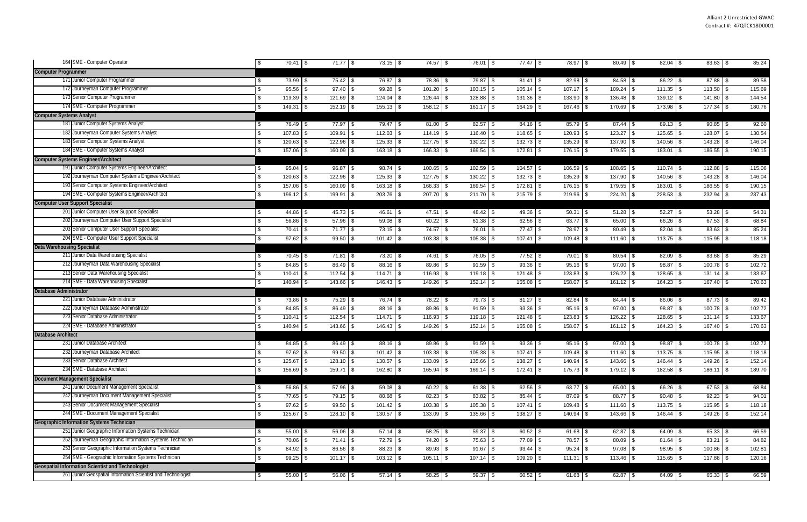|                           | 164 SME - Computer Operator                                  | $70.41$ \$<br>\$  | $71.77$ \$   | $73.15$ \$             | $74.57$ \\$    | 76.01 \$      | $77.47$ \$                 | 78.97 \$            | 80.49 \$       | $82.04$ \$   | $83.63$ \$   | 85.24  |
|---------------------------|--------------------------------------------------------------|-------------------|--------------|------------------------|----------------|---------------|----------------------------|---------------------|----------------|--------------|--------------|--------|
|                           | <b>Computer Programmer</b>                                   |                   |              |                        |                |               |                            |                     |                |              |              |        |
|                           | 171 Junior Computer Programmer                               | $73.99$ \$<br>-\$ | $75.42$ \$   | 76.87 \$               | 78.36 \$       | 79.87 \$      | $81.41$ \$                 | 82.98 \$            | $84.58$ \ \ \$ | $86.22$ \$   | 87.88 \$     | 89.58  |
|                           | 172 Journeyman Computer Programmer                           | $95.56$ \$<br>S.  | $97.40$ \ \$ | $99.28$ \$             | $101.20$ \$    | $103.15$ \$   | $105.14$ \$                | $107.17$ \$         | $109.24$ \$    | $111.35$ \$  | $113.50$ \$  | 115.69 |
|                           | 173 Senior Computer Programmer                               | 119.39<br>\$.     | $121.69$ \\$ | $124.04$ \$            | $126.44$ \ \$  |               | $131.36$ \$<br>133.90 \$   |                     | 136.48 \$      | $139.12$ \$  | $141.80$ \$  | 144.54 |
|                           | 174 SME - Computer Programmer                                | 149.31            | $152.19$ \$  | $155.13$ \$            | $158.12$ \$    | $161.17$ \$   | $164.29$ \$<br>167.46 \$   |                     | $170.69$ \$    | 173.98 \$    | $177.34$ \\$ | 180.76 |
|                           | <b>Computer Systems Analyst</b>                              |                   |              |                        |                |               |                            |                     |                |              |              |        |
|                           | 181 Junior Computer Systems Analyst                          | 76.49 \$<br>\$    | 77.97 \$     | 79.47 \$               | $81.00$ \$     | $82.57$ \$    | $84.16$ \$                 | 85.79 \$            | $87.44$ \ \$   | $89.13$ \$   | $90.85$ \$   | 92.60  |
|                           | 182 Journeyman Computer Systems Analyst                      | 107.83<br>\$      | $109.91$ \$  | $112.03$ \$            | $114.19$ \$    | $116.40$ \\$  | $118.65$ \$                | $120.93$ \$         | $123.27$ \$    | 125.65 \$    | $128.07$ \$  | 130.54 |
|                           | 183 Senior Computer Systems Analyst                          | 120.63<br>\$.     | 122.96       | $125.33$ \$            | $127.75$ \\$   | $130.22$ \$   | $132.73$ \$<br>135.29 \$   |                     | 137.90 \$      | 140.56 \$    | 143.28 \$    | 146.04 |
|                           | 184 SME - Computer Systems Analyst                           | $157.06$ \$<br>\$ | $160.09$ \$  | $163.18$ \$            | $166.33$ \$    | $169.54$ \$   | $172.81$ \$                | $176.15$ \\$        | $179.55$ \$    | 183.01 \$    | $186.55$ \$  | 190.15 |
|                           | <b>Computer Systems Engineer/Architect</b>                   |                   |              |                        |                |               |                            |                     |                |              |              |        |
|                           | 191 Junior Computer Systems Engineer/Architect               | $95.04$ \$<br>\$. | $96.87$ \$   | $98.74$ \$             | $100.65$ \$    | 102.59 \$     | $104.57$ \$                | $106.59$ \$         | 108.65 \$      |              |              | 115.06 |
|                           | 192 Journeyman Computer Systems Engineer/Architect           | 120.63<br>\$.     | 122.96       | $125.33$ \$            | $127.75$ \\$   | $130.22$ \$   | $132.73$ \$                | $135.29$ \$         | $137.90$ \$    | 140.56 \$    |              | 146.04 |
|                           | 193 Senior Computer Systems Engineer/Architect               | 157.06            | 160.09       | $163.18$ \$            | 166.33         | 169.54        | $172.81$ \$<br>$176.15$ \$ |                     | $179.55$ \$    | 183.01       | $186.55$ \$  | 190.15 |
|                           | 194 SME - Computer Systems Engineer/Architect                | $196.12$ \$       | 199.91       | 203.76 \$              | 207.70 \$      | $211.70$ \$   | $215.79$ \$<br>219.96 \$   |                     | 224.20 \$      | $228.53$ \$  | 232.94 \$    | 237.43 |
|                           | <b>Computer User Support Specialist</b>                      |                   |              |                        |                |               |                            |                     |                |              |              |        |
|                           | 201 Junior Computer User Support Specialist                  | $44.86$ \$<br>S   | $45.73$ \$   | $46.61$ \$             | $47.51$ \$     | $48.42$ \$    | $49.36$ \$                 | $50.31$ \$          | $51.28$ \$     | $52.27$ \$   | $53.28$ \$   | 54.31  |
|                           | 202 Journeyman Computer User Support Specialist              | 56.86<br>\$.      | $57.96$ \$   | $59.08$ \$             | 60.22          | $61.38$ \$    | $62.56$ \$                 | $63.77$ \$          | $65.00$ \$     | $66.26$ \$   | $67.53$ \$   | 68.84  |
|                           | 203 Senior Computer User Support Specialist                  | 70.41<br>\$       | $71.77$ \\$  | $73.15$ \$             | $74.57$ \\$    | $76.01$ \$    | $77.47$ \\$                | 78.97 \$            | $80.49$ \$     | 82.04 \$     | $83.63$ \$   | 85.24  |
|                           | 204 SME - Computer User Support Specialist                   | 97.62<br>S.       | $99.50$ \$   | $\overline{101.42}$ \$ | 103.38<br>- \$ |               | $107.41$ \$<br>109.48 \$   |                     | $111.60$ \$    | $113.75$ \$  | $115.95$ \$  | 118.18 |
|                           | <b>Data Warehousing Specialist</b>                           |                   |              |                        |                |               |                            |                     |                |              |              |        |
|                           | 211 Junior Data Warehousing Specialist                       | $70.45$ \$<br>\$. | $71.81$ \\$  | $73.20$ \$             | 74.61 \$       | 76.05 \$      | $77.52$ \$                 | 79.01 \$            |                | 82.09 \$     |              | 85.29  |
|                           | 212 Journeyman Data Warehousing Specialist                   | 84.85<br>\$       | 86.49        | 88.16 \$               | 89.86          | $91.59$ \$    | $93.36$ \$                 | $95.16$ \$          | $97.00$ \$     | $98.87$ \$   | 100.78 \$    | 102.72 |
|                           | 213 Senior Data Warehousing Specialist                       | 110.41<br>\$      | 112.54       | $114.71$ \\$           | $116.93$ \$    |               | $121.48$ \$                |                     | $126.22$ \$    | 128.65 \$    | $131.14$ \$  | 133.67 |
|                           | 214 SME - Data Warehousing Specialist                        | 140.94<br>\$.     | 143.66       | $146.43$ \$            | $149.26$ \$    | $152.14$ \\$  | $155.08$ \$                | 158.07 \$           | $161.12$ \$    | 164.23 \$    | 167.40 \$    | 170.63 |
|                           | <b>Database Administrator</b>                                |                   |              |                        |                |               |                            |                     |                |              |              |        |
|                           | 221 Junior Database Administrator                            | $73.86$ \$<br>\$  | 75.29 \$     | 76.74 \$               | $78.22$ \$     | $79.73$ \$    |                            | $82.84$ \$          | $84.44$ \ \$   | 86.06 \$     | 87.73 \$     | 89.42  |
|                           | 222 Journeyman Database Administrator                        | \$<br>84.85       | 86.49        | $88.16$ \$             | 89.86<br>- \$  | $91.59$ \$    | $93.36$ \$                 | $95.16$ \$          | $97.00$ \$     | $98.87$ \$   | $100.78$ \$  | 102.72 |
|                           | 223 Senior Database Administrator                            | 110.41<br>\$.     | 112.54       | $114.71$ \\$           | $116.93$ \$    | $119.18$ \$   | $121.48$ \$                |                     | $126.22$ \$    | $128.65$ \$  | $131.14$ \$  | 133.67 |
|                           | 224 SME - Database Administrator                             | 140.94<br>\$.     | $143.66$ \$  | $146.43$ \$            | $149.26$ \$    | $152.14$ \\$  | $155.08$ \$                | $158.07$ \$         | $161.12$ \$    | $164.23$ \$  | 167.40 \$    | 170.63 |
| <b>Database Architect</b> |                                                              |                   |              |                        |                |               |                            |                     |                |              |              |        |
|                           | 231 Junior Database Architect                                | $84.85$ \$        | $86.49$ \\$  | $88.16$ \$             | 89.86 \$       | $91.59$ \$    | $93.36$ \$                 | $95.16$ \$          | $97.00$ \$     | $98.87$ \$   | $100.78$ \$  | 102.72 |
|                           | 232 Journeyman Database Architect                            | $97.62$ \$        | $99.50$ \$   | $101.42$ \$            | $103.38$ \$    | $105.38$ \$   | $107.41$ \$                | $109.48$ \$         | $111.60$ \$    | $113.75$ \$  | $115.95$ \$  | 118.18 |
|                           | 233 Senior Database Architect                                | $125.67$ \$<br>\$ | $128.10$ \$  | $130.57$ \$            | 133.09 \$      | $135.66$ \ \$ | $138.27$ \$                | $140.94$ \$         | 143.66 \$      | 146.44 \$    | $149.26$ \$  | 152.14 |
|                           | 234 SME - Database Architect                                 | 156.69 \$<br>\$   | $159.71$ \$  | $162.80$ \$            | $165.94$ \$    | $169.14$ \$   | $172.41$ \ \$              | $175.73$ \$         | $179.12$ \$    | $182.58$ \$  | $186.11$ \\$ | 189.70 |
|                           | <b>Document Management Specialist</b>                        |                   |              |                        |                |               |                            |                     |                |              |              |        |
|                           | 241 Junior Document Management Specialist                    | 56.86 \$<br>S.    | $57.96$ \$   | $59.08$ \$             | $60.22$ \$     | $61.38$ \$    | $62.56$ \$                 | 63.77 $\frac{1}{2}$ | 65.00 \$       | $66.26$ \$   | $67.53$ \$   | 68.84  |
|                           | 242 Journeyman Document Management Specialist                | $77.65$ \$<br>S.  | $79.15$ \$   | $80.68$ \$             | $82.23$ \$     |               | $85.44$ \ \$               | 87.09 \$            |                | $90.48$ \$   | $92.23$ \$   | 94.01  |
|                           | 243 Senior Document Management Specialist                    | $97.62$ \$<br>\$  | $99.50$ \$   | $101.42$ \ \$          | $103.38$ \$    | $105.38$ \$   | $107.41$ $\sqrt$           | $109.48$ \$         | $111.60$ \ \$  | $113.75$ \$  | $115.95$ \$  | 118.18 |
|                           | 244 SME - Document Management Specialist                     | 125.67 \$<br>\$   | $128.10$ \$  | $130.57$ \\$           | $133.09$ \$    | $135.66$ \ \$ | $138.27$ \$                | $140.94$ \$         | 143.66 \$      | 146.44 \$    | $149.26$ \\$ | 152.14 |
|                           | <b>Geographic Information Systems Technician</b>             |                   |              |                        |                |               |                            |                     |                |              |              |        |
|                           | 251 Junior Geographic Information Systems Technician         | $55.00$ \$<br>S.  | $56.06$ \$   | $57.14$ \$             | $58.25$ \$     | $59.37$ \$    | $60.52$ \$                 | $61.68$ \$          | $62.87$ \ \ \$ | $64.09$ \ \$ |              | 66.59  |
|                           | 252 Journeyman Geographic Information Systems Technician     | 70.06 \$<br>\$    | $71.41$ \$   | 72.79 \$               | 74.20 \$       | 75.63 \$      | 77.09 \$                   | 78.57 \$            | 80.09 \$       | $81.64$ \$   | $83.21$ \$   | 84.82  |
|                           | 253 Senior Geographic Information Systems Technician         | 84.92 \$<br>\$    | $86.56$ \$   | $88.23$ \$             | 89.93 \$       | $91.67$ \$    | $93.44$ \\$                | $95.24$ \$          | $97.08$ \$     | $98.95$ \$   | $100.86$ \$  | 102.81 |
|                           | 254 SME - Geographic Information Systems Technician          | $99.25$ \$<br>\$. | $101.17$ \\$ | $103.12$ \$            | $105.11$ \\$   | $107.14$ \\$  | $109.20$ \$                | $111.31$ \$         |                | $115.65$ \$  | $117.88$ \$  | 120.16 |
|                           | <b>Geospatial Information Scientist and Technologist</b>     |                   |              |                        |                |               |                            |                     |                |              |              |        |
|                           | 261 Junior Geospatial Information Scientist and Technologist | 55.00 \$<br>S.    | $56.06$ \$   | $57.14$ \\$            | $58.25$ \$     | $59.37$ \$    | $60.52$ \$                 | $61.68$ \$          | $62.87$ \$     | 64.09 \$     | $65.33$ \$   | 66.59  |
|                           |                                                              |                   |              |                        |                |               |                            |                     |                |              |              |        |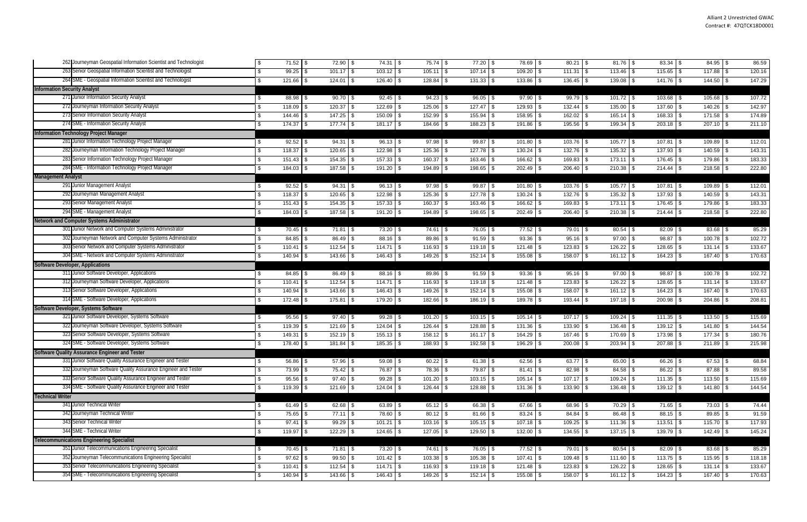| 262 Journeyman Geospatial Information Scientist and Technologist | \$<br>$71.52$ \$   | $72.90$ \$    | $74.31$ \$    | $75.74$ \\$   | $77.20$ \$    | 78.69 \$     | $80.21$ \$     |                 | $83.34$ \$    | $84.95$ \$    | 86.59          |
|------------------------------------------------------------------|--------------------|---------------|---------------|---------------|---------------|--------------|----------------|-----------------|---------------|---------------|----------------|
| 263 Senior Geospatial Information Scientist and Technologist     | $99.25$ \$<br>\$.  | $101.17$ \\$  | $103.12$ \$   | $105.11$ \$   | $107.14$ \$   | $109.20$ \$  | $111.31$ \$    | 113.46<br>\$    | $115.65$ \$   |               | 120.16         |
| 264 SME - Geospatial Information Scientist and Technologist      | 121.66 \$          | $124.01$ \\$  | 126.40 \$     | $128.84$ \\$  | $131.33$ \$   | $133.86$ \$  | $136.45$ \ \$  | 139.08<br>\$    | $141.76$ \$   | $144.50$ \\$  | 147.29         |
| <b>Information Security Analyst</b>                              |                    |               |               |               |               |              |                |                 |               |               |                |
| 271 Junior Information Security Analyst                          | 88.98 \$<br>\$.    | $90.70$ \$    | $92.45$ \$    | $94.23$ \$    | $96.05$ \$    | $97.90$ \$   | $99.79$ \$     | $101.72$ \$     | 103.68 \$     | $105.68$ \ \$ | 107.72         |
| 272 Journeyman Information Security Analyst                      | \$<br>118.09 \$    | $120.37$ \$   | $122.69$ \ \$ | $125.06$ \$   | $127.47$ \ \$ | $129.93$ \$  | $132.44$ \ \$  | 135.00<br>\$    | $137.60$ \$   | $140.26$ \ \$ | 142.97         |
| 273 Senior Information Security Analyst                          | 144.46 \$<br>\$.   |               | $150.09$ \$   | $152.99$ \ \$ | $155.94$ \\$  | $158.95$ \$  | $162.02$ \$    | $165.14$ \$     | 168.33 \$     |               | 174.89         |
| 274 SME - Information Security Analyst                           | 174.37<br>\$.      | $177.74$ \\$  | $181.17$ \ \$ | 184.66 \$     | $188.23$ \$   | $191.86$ \$  | 195.56 \$      | 199.34<br>- \$  | $203.18$ \$   | $207.10$ \\$  | 211.10         |
| Information Technology Project Manager                           |                    |               |               |               |               |              |                |                 |               |               |                |
| 281 Junior Information Technology Project Manager                | $92.52$ \$<br>\$.  | $94.31$ \$    | $96.13$ \$    | $97.98$ \$    | $99.87$ \$    | $101.80$ \$  | $103.76$ \ \$  |                 | $107.81$ \$   | $109.89$ \$   | 112.01         |
| 282 Journeyman Information Technology Project Manager            | 118.37<br>\$.      | $120.65$ \ \$ | $122.98$ \$   | $125.36$ \$   | $127.78$ \\$  | $130.24$ \$  | $132.76$ \ \$  | 135.32<br>\$    | 137.93        | $140.59$ \$   | 143.31         |
| 283 Senior Information Technology Project Manager                | 151.43<br>\$.      | $154.35$ \$   | $157.33$ \$   |               | $163.46$ \$   | $166.62$ \$  | $169.83$ \$    | $173.11$ \ \$   | $176.45$ \$   | 179.86        | 183.33<br>l \$ |
| 284 SME - Information Technology Project Manager                 | 184.03 \$<br>\$    | 187.58 \$     | 191.20 \$     | $194.89$ \$   | $198.65$ \$   | $202.49$ \\$ | $206.40$ \ \$  | $210.38$ \$     | $214.44$ \$   |               | 222.80         |
| <b>Management Analyst</b>                                        |                    |               |               |               |               |              |                |                 |               |               |                |
| 291 Junior Management Analyst                                    | $92.52$ \$<br>\$   | $94.31$ \$    | $96.13$ \$    | $97.98$ \$    | $99.87$ \$    | $101.80$ \$  | $103.76$ \ \$  |                 | $107.81$ \$   | $109.89$ \$   | 112.01         |
| 292 Journeyman Management Analyst                                | 118.37<br>\$       | $120.65$ \\$  | $122.98$ \$   | $125.36$ \\$  | $127.78$ \\$  | $130.24$ \$  | $132.76$ \$    | $135.32$ \$     | $137.93$ \$   | $140.59$ \$   | 143.31         |
| 293 Senior Management Analyst                                    | $151.43$ \$<br>\$  | $154.35$ \$   | $157.33$ \$   | $160.37$ \$   | $163.46$ \ \$ | 166.62 \$    | 169.83 \$      | $173.11$ \$     | $176.45$ \$   | $179.86$ \$   | 183.33         |
| 294 SME - Management Analyst                                     | $184.03$ \$<br>\$. | $187.58$ \$   | $191.20$ \$   | 194.89 \$     | $198.65$ \$   | $202.49$ \$  | $206.40$ \$    | $210.38$ \$     | $214.44$ \$   | $218.58$ \$   | 222.80         |
| Network and Computer Systems Administrator                       |                    |               |               |               |               |              |                |                 |               |               |                |
| 301 Junior Network and Computer Systems Administrator            | $70.45$ \$         | $71.81$ \\$   | $73.20$ \$    | 74.61 \$      | 76.05 \$      | $77.52$ \$   | 79.01 \$       |                 | $82.09$ \$    |               | 85.29          |
| 302 Journeyman Network and Computer Systems Administrator        | 84.85<br>\$.       | $86.49$ \$    | 88.16 \$      | $89.86$ \$    | $91.59$ \$    | $93.36$ \$   | $95.16$ \$     | 97.00<br>\$     | 98.87         |               | 102.72         |
| 303 Senior Network and Computer Systems Administrator            | \$<br>110.41       | $112.54$ \\$  | $114.71$ \\$  | $116.93$ \$   | $119.18$ \$   |              | $123.83$ \$    | $126.22$ \$     | 128.65 \$     | $131.14$ \\$  | 133.67         |
| 304 SME - Network and Computer Systems Administrator             | 140.94 \$          | $143.66$ \$   | $146.43$ \$   | $149.26$ \$   | $152.14$ \$   | $155.08$ \$  | 158.07 \$      | $161.12$ \$     | $164.23$ \$   | $167.40$ \ \$ | 170.63         |
| <b>Software Developer, Applications</b>                          |                    |               |               |               |               |              |                |                 |               |               |                |
| 311 Junior Software Developer, Applications                      | 84.85 \$<br>\$.    | 86.49 \$      | $88.16$ \ \$  | $89.86$ \$    | $91.59$ \$    | $93.36$ \$   | $95.16$ \$     | $97.00$ \$      | $98.87$ \$    | $100.78$ \$   | 102.72         |
| 312 Journeyman Software Developer, Applications                  | 110.41<br>\$       | $112.54$ \\$  | $114.71$ \\$  | $116.93$ \$   | $119.18$ \ \$ |              |                | $126.22$ \$     | $128.65$ \$   | $131.14$ \\$  | 133.67         |
| 313 Senior Software Developer, Applications                      | $140.94$ \$        | $143.66$ \ \$ | $146.43$ \$   | $149.26$ \$   | $152.14$ \$   | $155.08$ \$  | $158.07$ \$    | $161.12$ \$     | $164.23$ \$   | $167.40$ \\$  | 170.63         |
| 314 SME - Software Developer, Applications                       | $172.48$ \$<br>\$  | $175.81$ \$   | 179.20 \$     | $182.66$ \$   | 186.19 \$     | $189.78$ \$  |                | $197.18$ \$     | $200.98$ \$   | $204.86$ \\$  | 208.81         |
| Software Developer, Systems Software                             |                    |               |               |               |               |              |                |                 |               |               |                |
| 321 Junior Software Developer, Systems Software                  | $95.56$ \$<br>S.   | $97.40$ \$    | $99.28$ \$    | $101.20$ \$   | $103.15$ \\$  | $105.14$ \$  | $107.17$ \\$   | 109.24<br>-\$   | $111.35$ \$   | $113.50$ \ \$ | 115.69         |
| 322 Journeyman Software Developer, Systems Software              | 119.39 \$<br>\$    | $121.69$ \$   | $124.04$ \\$  | $126.44$ \ \$ |               | $131.36$ \$  | $133.90$ \ \$  | 136.48<br>\$    | $139.12$ \$   | 141.80        | 144.54<br>-\$  |
| 323 Senior Software Developer, Systems Software                  | 149.31<br>\$.      | $152.19$ \$   | $155.13$ \$   | $158.12$ \$   | $161.17$ \$   | 164.29 \$    | $167.46$ \ \$  | 170.69 \$       | $173.98$ \$   | $177.34$ \\$  | 180.76         |
| 324 SME - Software Developer, Systems Software                   | 178.40 \$          | $181.84$ \$   | $185.35$ \\$  | 188.93 \$     |               | $196.29$ \$  | $200.08$ \$    | 203.94<br>- \$  | 207.88 \$     | $211.89$ \\$  | 215.98         |
| Software Quality Assurance Engineer and Tester                   |                    |               |               |               |               |              |                |                 |               |               |                |
| 331 Junior Software Quality Assurance Engineer and Tester        | $56.86$ \$<br>\$   | $57.96$ \\$   | $59.08$ \$    | $60.22$ \$    | $61.38$ \$    | $62.56$ \$   | $63.77$ \$     | $65.00$ \$      | 66.26 \$      | $67.53$ \$    | 68.84          |
| 332 Journeyman Software Quality Assurance Engineer and Tester    | $73.99$ \$         | $75.42$ \\$   | 76.87 \$      | 78.36 \$      | 79.87 \$      | $81.41$ \$   |                | $84.58$ \ \ \$  | $86.22$ \$    | $87.88$ \$    | 89.58          |
| 333 Senior Software Quality Assurance Engineer and Tester        | $95.56$ \$<br>\$.  | $97.40$ \$    | $99.28$ \$    | $101.20$ \$   | $103.15$ \$   | $105.14$ \\$ |                | $109.24$ \$     |               | $113.50$ \\$  | 115.69         |
| 334 SME - Software Quality Assurance Engineer and Tester         | $119.39$ \$        | $121.69$ \$   | $124.04$ \\$  |               | 128.88 \$     | $131.36$ \$  | $133.90$ \$    | $136.48$ \ \ \$ | $139.12$ \$   | $141.80$ \\$  | 144.54         |
| <b>Technical Writer</b>                                          |                    |               |               |               |               |              |                |                 |               |               |                |
| 341 Junior Technical Writer                                      | $61.49$ \$<br>\$   | $62.68$ \$    | $63.89$ \$    | $65.12$ \$    | 66.38 \$      | $67.66$ \$   | 68.96 \$       | $70.29$ \$      | $71.65$ \$    | $73.03$ \$    | 74.44          |
| 342 Journeyman Technical Writer                                  | 75.65 \$<br>\$     | $77.11$ \$    | 78.60 \$      | $80.12$ \$    | $81.66$ \$    |              | $84.84$ \ \ \$ | $86.48$ \ \ \$  | $88.15$ \$    | $89.85$ \$    | 91.59          |
| 343 Senior Technical Writer                                      | \$<br>$97.41$ \$   | $99.29$ \$    | $101.21$ \$   | $103.16$ \$   | $105.15$ \$   | $107.18$ \$  | $109.25$ \$    | $111.36$ \$     | $113.51$ \ \$ | $115.70$ \$   | 117.93         |
| 344 SME - Technical Writer                                       | $119.97$ \$<br>\$. | $122.29$ \$   | $124.65$ \ \$ | $127.05$ \$   | $129.50$ \ \$ | $132.00$ \$  | $134.55$ \\$   | $137.15$ \$     | $139.79$ \$   | $142.49$ \ \$ | 145.24         |
| <b>Telecommunications Engineering Specialist</b>                 |                    |               |               |               |               |              |                |                 |               |               |                |
| 351 Junior Telecommunications Engineering Specialist             | $70.45$ \$<br>\$.  | 71.81 \$      | $73.20$ \$    | 74.61   \$    | $76.05$ \$    | $77.52$ \$   | $79.01$ \$     | $80.54$ \$      | $82.09$ \$    |               | 85.29          |
| 352 Journeyman Telecommunications Engineering Specialist         | $97.62$ \$<br>\$   | $99.50$ \$    | $101.42$ \$   |               | $105.38$ \$   | $107.41$ \\$ | $109.48$ \$    | $111.60$ \$     | $113.75$ \$   | $115.95$ \$   | 118.18         |
| 353 Senior Telecommunications Engineering Specialist             | \$<br>110.41       |               | $114.71$ \\$  | $116.93$ \$   | $119.18$ \$   | $121.48$ \$  |                | $126.22$ \$     | $128.65$ \$   |               | 133.67         |
| 354 SME - Telecommunications Engineering Specialist              | 140.94 \$          | $143.66$ \$   | $146.43$ \$   | $149.26$ \$   | $152.14$ \$   | $155.08$ \$  | 158.07 \$      | $161.12$ \$     | 164.23 \$     | $167.40$ \ \$ | 170.63         |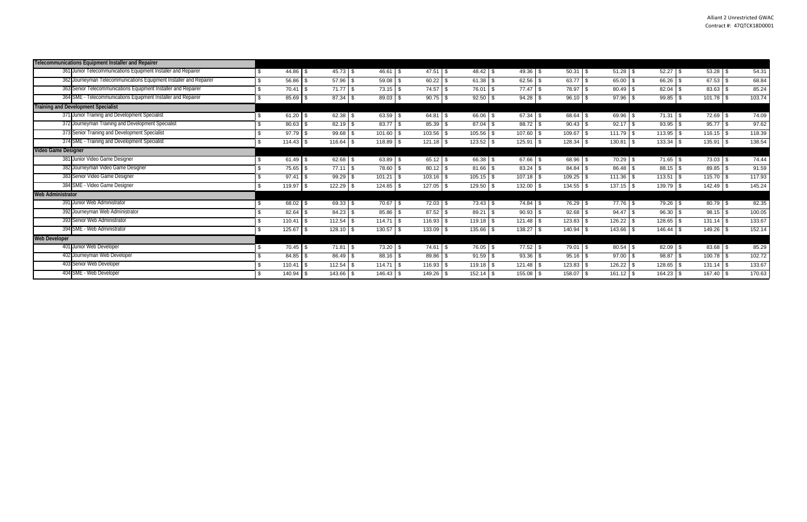|                          | Telecommunications Equipment Installer and Repairer                |             |               |               |                      |               |              |               |               |                       |               |        |
|--------------------------|--------------------------------------------------------------------|-------------|---------------|---------------|----------------------|---------------|--------------|---------------|---------------|-----------------------|---------------|--------|
|                          | 361 Junior Telecommunications Equipment Installer and Repairer     | $44.86$ \\$ | $45.73$ \\$   | $46.61$ \\$   | $47.51$ \$           | $48.42$ \$    | $49.36$ \$   | $50.31$ \ \$  |               | $52.27$ \$            |               | 54.31  |
|                          | 362 Journeyman Telecommunications Equipment Installer and Repairer | $56.86$ \$  | $57.96$ \$    | $59.08$ \ \$  | $60.22$ \$           | $61.38$ \$    | $62.56$ \$   | $63.77$ \$    | 65.00 \$      | $66.26$ \ \$          | $67.53$ \$    | 68.84  |
|                          | 363 Senior Telecommunications Equipment Installer and Repairer     | 70.41       | $71.77$ \\$   | $73.15$ \\$   | $74.57$ \$           | 76.01 \$      | $77.47$ \\$  | 78.97 \$      | $80.49$ \$    | $82.04$ \$            | $83.63$ \$    | 85.24  |
|                          | 364 SME - Telecommunications Equipment Installer and Repairer      | $85.69$ \$  | $87.34$ \\$   | $89.03$ \$    | $90.75$ \$           | $92.50$ \$    |              | $96.10$ \ \$  | $97.96$ \$    | $99.85$ \ \$          |               | 103.74 |
|                          | <b>Training and Development Specialist</b>                         |             |               |               |                      |               |              |               |               |                       |               |        |
|                          | 71 Junior Training and Development Specialist                      | $61.20$ \$  | $62.38$ \$    | $63.59$ \$    | $64.81$ \ \$         | 66.06 \$      | $67.34$ \$   | $68.64$ \$    | $69.96$ \$    | $71.31$ \\$           | 72.69         | 74.09  |
|                          | 372 Journeyman Training and Development Specialist                 | $80.63$ \$  | $82.19$ \ \$  |               | $85.39$ \$           | $87.04$ \\$   | $88.72$ \$   | $90.43$ \$    | $92.17$ \ \$  | $93.95$ \$            | $95.77$ \$    | 97.62  |
|                          | 373 Senior Training and Development Specialist                     | $97.79$ \$  | $99.68$ \$    | $101.60$ \ \$ | $103.56$ \$          | $105.56$ \\$  | 107.60       | 109.67        | 111.79        | $113.95$ \ \$<br>l \$ |               | 118.39 |
|                          | 374 SME - Training and Development Specialist                      |             | $116.64$ \ \$ | $118.89$ \$   |                      | $123.52$ \$   | 125.91       | 128.34        | 130.81        | 133.34 \$             | 135.91        | 138.54 |
| Video Game Designer      |                                                                    |             |               |               |                      |               |              |               |               |                       |               |        |
|                          | 381 Junior Video Game Designer                                     | $61.49$ \$  | $62.68$ \$    | $63.89$ \$    | $65.12$ \$           |               | $67.66$ \ \$ | 68.96 \$      | $70.29$ \$    | $71.65$ \ \$          | 73.03         | 74.44  |
|                          | 382 Journeyman Video Game Designer                                 | 75.65       | $77.11$ \\$   | 78.60 \$      |                      | $81.66$ \ \$  |              | $84.84$ \ \$  |               |                       | 89.85         | 91.59  |
|                          | 383 Senior Video Game Designer                                     | 97.41       | 99.29         | 101.21        | $103.16$ \\$<br>l \$ | $105.15$ \\$  |              | 109.25        | $111.36$ \$   | $113.51$ \$           | 115.70        | 117.93 |
|                          | 384 SME - Video Game Designer                                      | 119.97      | 122.29        | $124.65$ \ \$ | 127.05               | 129.50        | 132.00       | 134.55        | $137.15$ \$   | 139.79 \$             | 142.49        | 145.24 |
| <b>Web Administrator</b> |                                                                    |             |               |               |                      |               |              |               |               |                       |               |        |
|                          | 391 Junior Web Administrator                                       | $68.02$ \$  | $69.33$ \$    | $70.67$ \ \$  | $72.03$ \$           | $73.43$ \\$   | $74.84$ \$   | 76.29         | $77.76$ \$    | $79.26$ \$            | $80.79$ \$    | 82.35  |
|                          | 392 Journeyman Web Administrator                                   | 82.64       | 84.23         | 85.86 \$      | $87.52$ \$           | 89.21         | $90.93$ \$   | 92.68         |               | $96.30$ \$            | $98.15$ \$    | 100.05 |
|                          | 393 Senior Web Administrator                                       | 110.41      | $112.54$ \$   | $114.71$ \ \$ | $116.93$ \$          | $119.18$ \$   |              | 123.83        | $126.22$ \$   | 128.65 \$             |               | 133.67 |
|                          | 94 SME - Web Administrator                                         | 125.67      | $128.10$ \ \$ | $130.57$ \$   | 133.09               | 135.66        | 138.27       | 140.94        | $143.66$ \ \$ | $146.44$ \ \$         | $149.26$ \ \$ | 152.14 |
| <b>Web Developer</b>     |                                                                    |             |               |               |                      |               |              |               |               |                       |               |        |
|                          | 401 Junior Web Developer                                           |             | $71.81$ \\$   | $73.20$ \$    | $74.61$ \ \$         | 76.05 \$      | $77.52$ \$   | 79.01         |               | $82.09$ \$            |               | 85.29  |
|                          | 402 Journeyman Web Developer                                       | $84.85$ \$  | $86.49$ \ \$  | $88.16$ \\$   | $89.86$ \$           | $91.59$ \$    | $93.36$ \$   | $95.16$ \$    | $97.00$ \$    | $98.87$ \$            |               | 102.72 |
|                          | 403 Senior Web Developer                                           | 110.41      | $112.54$ \$   | $114.71$ \ \$ |                      | $119.18$ \ \$ |              | $123.83$ \ \$ | $126.22$ \ \$ | $128.65$ \ \$         |               | 133.67 |
|                          | 404 SME - Web Developer                                            | 140.94      | $143.66$ \ \$ | $146.43$ \ \$ | $149.26$ \$          |               | $155.08$ \$  | 158.07        |               | $164.23$ \$           | $167.40$ \ \$ | 170.63 |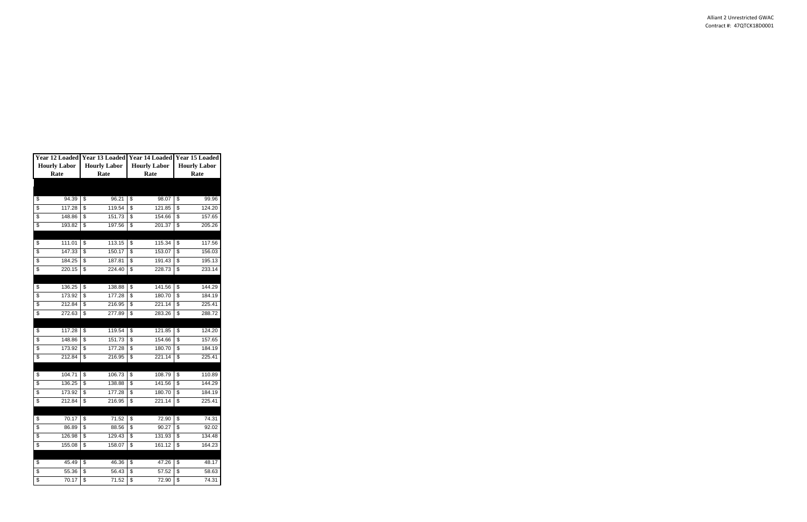|                     |        | Year 12 Loaded Year 13 Loaded Year 14 Loaded Year 15 Loaded |        |                     |        |                     |        |
|---------------------|--------|-------------------------------------------------------------|--------|---------------------|--------|---------------------|--------|
| <b>Hourly Labor</b> |        | <b>Hourly Labor</b>                                         |        | <b>Hourly Labor</b> |        | <b>Hourly Labor</b> |        |
| Rate                |        |                                                             | Rate   | Rate                |        | Rate                |        |
|                     |        |                                                             |        |                     |        |                     |        |
|                     |        |                                                             |        |                     |        |                     |        |
| \$                  | 94.39  | \$                                                          | 96.21  | \$                  | 98.07  | \$                  | 99.96  |
| \$                  | 117.28 | \$                                                          | 119.54 | \$                  | 121.85 | \$                  | 124.20 |
| \$                  | 148.86 | \$                                                          | 151.73 | \$                  | 154.66 | \$                  | 157.65 |
| \$                  | 193.82 | \$                                                          | 197.56 | \$                  | 201.37 | \$                  | 205.26 |
|                     |        |                                                             |        |                     |        |                     |        |
| \$                  | 111.01 | \$                                                          | 113.15 | \$                  | 115.34 | \$                  | 117.56 |
| \$                  | 147.33 | \$                                                          | 150.17 | \$                  | 153.07 | \$                  | 156.03 |
| \$                  | 184.25 | \$                                                          | 187.81 | \$                  | 191.43 | \$                  | 195.13 |
| \$                  | 220.15 | \$                                                          | 224.40 | \$                  | 228.73 | \$                  | 233.14 |
|                     |        |                                                             |        |                     |        |                     |        |
| \$                  | 136.25 | \$                                                          | 138.88 | \$                  | 141.56 | \$                  | 144.29 |
| \$                  | 173.92 | \$                                                          | 177.28 | \$                  | 180.70 | \$                  | 184.19 |
| \$                  | 212.84 | \$                                                          | 216.95 | \$                  | 221.14 | \$                  | 225.41 |
| \$                  | 272.63 | \$                                                          | 277.89 | \$                  | 283.26 | \$                  | 288.72 |
|                     |        |                                                             |        |                     |        |                     |        |
| \$                  | 117.28 | \$                                                          | 119.54 | \$                  | 121.85 | \$                  | 124.20 |
| \$                  | 148.86 | \$                                                          | 151.73 | \$                  | 154.66 | \$                  | 157.65 |
| \$                  | 173.92 | \$                                                          | 177.28 | \$                  | 180.70 | \$                  | 184.19 |
| \$                  | 212.84 | \$                                                          | 216.95 | \$                  | 221.14 | \$                  | 225.41 |
|                     |        |                                                             |        |                     |        |                     |        |
| \$                  | 104.71 | \$                                                          | 106.73 | \$                  | 108.79 | \$                  | 110.89 |
| \$                  | 136.25 | \$                                                          | 138.88 | \$                  | 141.56 | \$                  | 144.29 |
| \$                  | 173.92 | \$                                                          | 177.28 | \$                  | 180.70 | \$                  | 184.19 |
| \$                  | 212.84 | \$                                                          | 216.95 | \$                  | 221.14 | \$                  | 225.41 |
|                     |        |                                                             |        |                     |        |                     |        |
| \$                  | 70.17  | \$                                                          | 71.52  | \$                  | 72.90  | \$                  | 74.31  |
| \$                  | 86.89  | \$                                                          | 88.56  | \$                  | 90.27  | \$                  | 92.02  |
| \$                  | 126.98 | \$                                                          | 129.43 | \$                  | 131.93 | \$                  | 134.48 |
| \$                  | 155.08 | \$                                                          | 158.07 | \$                  | 161.12 | \$                  | 164.23 |
|                     |        |                                                             |        |                     |        |                     |        |
| \$                  | 45.49  | \$                                                          | 46.36  | \$                  | 47.26  | \$                  | 48.17  |
| \$                  | 55.36  | \$                                                          | 56.43  | \$                  | 57.52  | \$                  | 58.63  |
| \$                  | 70.17  | $\overline{\$}$                                             | 71.52  | \$                  | 72.90  | $\overline{\$}$     | 74.31  |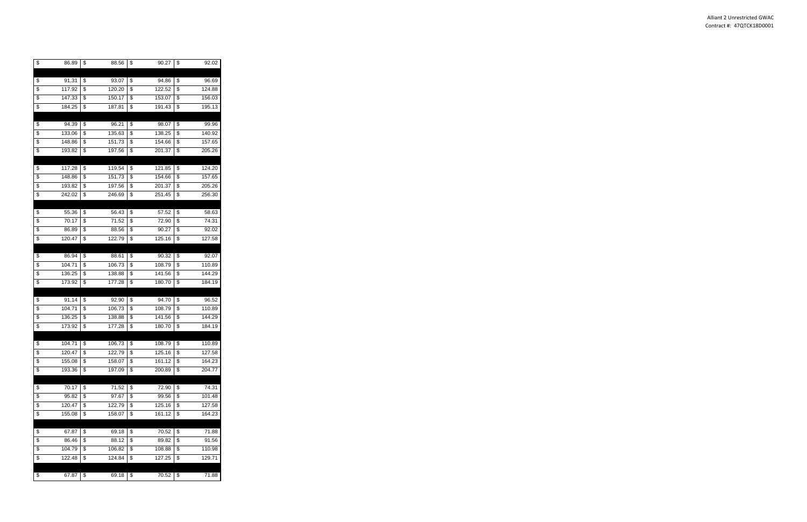| \$<br>86.89  | \$                      | 88.56  | \$<br>90.27  | \$                                 | 92.02  |
|--------------|-------------------------|--------|--------------|------------------------------------|--------|
|              |                         |        |              |                                    |        |
| \$<br>91.31  | \$                      | 93.07  | \$<br>94.86  | \$                                 | 96.69  |
| \$<br>117.92 | \$                      | 120.20 | \$<br>122.52 | \$                                 | 124.88 |
| \$<br>147.33 | \$                      | 150.17 | \$<br>153.07 | \$                                 | 156.03 |
| \$<br>184.25 | \$                      | 187.81 | \$<br>191.43 | \$                                 | 195.13 |
|              |                         |        |              |                                    |        |
| \$<br>94.39  | \$                      | 96.21  | \$<br>98.07  | \$                                 | 99.96  |
| \$<br>133.06 | \$                      | 135.63 | \$<br>138.25 | \$                                 | 140.92 |
| \$<br>148.86 | \$                      | 151.73 | \$<br>154.66 | \$                                 | 157.65 |
| \$<br>193.82 | \$                      | 197.56 | \$<br>201.37 | \$                                 | 205.26 |
|              |                         |        |              |                                    |        |
| \$<br>117.28 | \$                      | 119.54 | \$<br>121.85 | \$                                 | 124.20 |
| \$<br>148.86 | \$                      | 151.73 | \$<br>154.66 | \$                                 | 157.65 |
| \$<br>193.82 | \$                      | 197.56 | \$<br>201.37 | \$                                 | 205.26 |
| \$<br>242.02 | \$                      | 246.69 | \$<br>251.45 | \$                                 | 256.30 |
|              |                         |        |              |                                    |        |
| \$<br>55.36  | \$                      | 56.43  | \$<br>57.52  | \$                                 | 58.63  |
| \$<br>70.17  | \$                      | 71.52  | \$<br>72.90  | \$                                 | 74.31  |
| \$<br>86.89  | \$                      | 88.56  | \$<br>90.27  | $\overline{\boldsymbol{\epsilon}}$ | 92.02  |
| \$<br>120.47 | $\overline{\$}$         | 122.79 | \$<br>125.16 | \$                                 | 127.58 |
|              |                         |        |              |                                    |        |
| \$<br>86.94  | \$                      | 88.61  | \$<br>90.32  | \$                                 | 92.07  |
| \$<br>104.71 | \$                      | 106.73 | \$<br>108.79 | \$                                 | 110.89 |
| \$<br>136.25 | $\overline{\mathbf{e}}$ | 138.88 | \$<br>141.56 | \$                                 | 144.29 |
| \$<br>173.92 | \$                      | 177.28 | \$<br>180.70 | \$                                 | 184.19 |
|              |                         |        |              |                                    |        |
| \$<br>91.14  | \$                      | 92.90  | \$<br>94.70  | \$                                 | 96.52  |
| \$<br>104.71 | \$                      | 106.73 | \$<br>108.79 | \$                                 | 110.89 |
| \$<br>136.25 | \$                      | 138.88 | \$<br>141.56 | \$                                 | 144.29 |
| \$<br>173.92 | \$                      | 177.28 | \$<br>180.70 | \$                                 | 184.19 |
|              |                         |        |              |                                    |        |
| \$<br>104.71 | \$                      | 106.73 | \$<br>108.79 | \$                                 | 110.89 |
| \$<br>120.47 | $\overline{\mathbf{e}}$ | 122.79 | \$<br>125.16 | $\overline{\boldsymbol{\theta}}$   | 127.58 |
| \$<br>155.08 | \$                      | 158.07 | \$<br>161.12 | \$                                 | 164.23 |
| \$<br>193.36 | \$                      | 197.09 | \$<br>200.89 | \$                                 | 204.77 |
|              |                         |        |              |                                    |        |
| \$<br>70.17  | \$                      | 71.52  | \$<br>72.90  | \$                                 | 74.31  |
| \$<br>95.82  | \$                      | 97.67  | \$<br>99.56  | \$                                 | 101.48 |
| \$<br>120.47 | \$                      | 122.79 | \$<br>125.16 | \$                                 | 127.58 |
| \$<br>155.08 | \$                      | 158.07 | \$<br>161.12 | \$                                 | 164.23 |
|              |                         |        |              |                                    |        |
| \$<br>67.87  | \$                      | 69.18  | \$<br>70.52  | \$                                 | 71.88  |
| \$<br>86.46  | \$                      | 88.12  | \$<br>89.82  | \$                                 | 91.56  |
| \$<br>104.79 | \$                      | 106.82 | \$<br>108.88 | \$                                 | 110.98 |
| \$<br>122.48 | \$                      | 124.84 | \$<br>127.25 | \$                                 | 129.71 |
|              |                         |        |              |                                    |        |
| \$<br>67.87  | \$                      | 69.18  | \$<br>70.52  | \$                                 | 71.88  |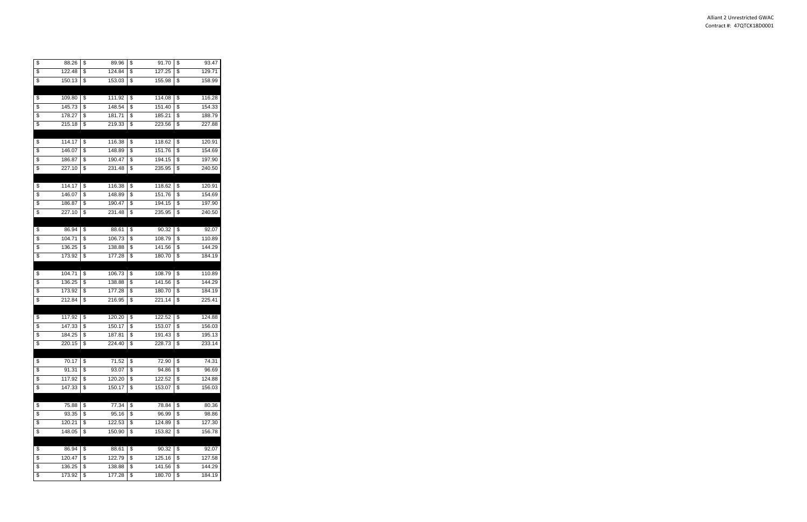| \$<br>88.26  | \$                       | 89.96  | \$<br>91.70  | \$<br>93.47  |
|--------------|--------------------------|--------|--------------|--------------|
| \$<br>122.48 | \$                       | 124.84 | \$<br>127.25 | \$<br>129.71 |
| \$<br>150.13 | \$                       | 153.03 | \$<br>155.98 | \$<br>158.99 |
|              |                          |        |              |              |
| \$<br>109.80 | \$                       | 111.92 | \$<br>114.08 | \$<br>116.28 |
| \$<br>145.73 | \$                       | 148.54 | \$<br>151.40 | \$<br>154.33 |
| \$<br>178.27 | \$                       | 181.71 | \$<br>185.21 | \$<br>188.79 |
| \$<br>215.18 | \$                       | 219.33 | \$<br>223.56 | \$<br>227.88 |
|              |                          |        |              |              |
| \$<br>114.17 | \$                       | 116.38 | \$<br>118.62 | \$<br>120.91 |
| \$<br>146.07 | \$                       | 148.89 | \$<br>151.76 | \$<br>154.69 |
| \$<br>186.87 | \$                       | 190.47 | \$<br>194.15 | \$<br>197.90 |
| \$<br>227.10 | \$                       | 231.48 | \$<br>235.95 | \$<br>240.50 |
|              |                          |        |              |              |
| \$<br>114.17 | \$                       | 116.38 | \$<br>118.62 | \$<br>120.91 |
| \$<br>146.07 | \$                       | 148.89 | \$<br>151.76 | \$<br>154.69 |
| \$<br>186.87 | \$                       | 190.47 | \$<br>194.15 | \$<br>197.90 |
| \$<br>227.10 | \$                       | 231.48 | \$<br>235.95 | \$<br>240.50 |
|              |                          |        |              |              |
| \$<br>86.94  | \$                       | 88.61  | \$<br>90.32  | \$<br>92.07  |
| \$<br>104.71 | \$                       | 106.73 | \$<br>108.79 | \$<br>110.89 |
| \$<br>136.25 | \$                       | 138.88 | \$<br>141.56 | \$<br>144.29 |
| \$<br>173.92 | $\overline{\mathcal{E}}$ | 177.28 | \$<br>180.70 | \$<br>184.19 |
|              |                          |        |              |              |
| \$<br>104.71 | \$                       | 106.73 | \$<br>108.79 | \$<br>110.89 |
| \$<br>136.25 | \$                       | 138.88 | \$<br>141.56 | \$<br>144.29 |
| \$<br>173.92 | $\overline{\$}$          | 177.28 | \$<br>180.70 | \$<br>184.19 |
| \$<br>212.84 | $\overline{\mathcal{E}}$ | 216.95 | \$<br>221.14 | \$<br>225.41 |
|              |                          |        |              |              |
| \$<br>117.92 | \$                       | 120.20 | \$<br>122.52 | \$<br>124.88 |
| \$<br>147.33 | \$                       | 150.17 | \$<br>153.07 | \$<br>156.03 |
| \$<br>184.25 | $\overline{\mathcal{E}}$ | 187.81 | \$<br>191.43 | \$<br>195.13 |
| \$<br>220.15 | \$                       | 224.40 | \$<br>228.73 | \$<br>233.14 |
|              |                          |        |              |              |
| \$<br>70.17  | \$                       | 71.52  | \$<br>72.90  | \$<br>74.31  |
| \$<br>91.31  | \$                       | 93.07  | \$<br>94.86  | \$<br>96.69  |
| \$<br>117.92 | $\overline{\mathcal{E}}$ | 120.20 | \$<br>122.52 | \$<br>124.88 |
| \$<br>147.33 | \$                       | 150.17 | \$<br>153.07 | \$<br>156.03 |
|              |                          |        |              |              |
| \$<br>75.88  | \$                       | 77.34  | \$<br>78.84  | \$<br>80.36  |
| \$<br>93.35  | \$                       | 95.16  | \$<br>96.99  | \$<br>98.86  |
| \$<br>120.21 | \$                       | 122.53 | \$<br>124.89 | \$<br>127.30 |
| \$<br>148.05 | \$                       | 150.90 | \$<br>153.82 | \$<br>156.78 |
|              |                          |        |              |              |
| \$<br>86.94  | \$                       | 88.61  | \$<br>90.32  | \$<br>92.07  |
| \$<br>120.47 | \$                       | 122.79 | \$<br>125.16 | \$<br>127.58 |
| \$<br>136.25 | \$                       | 138.88 | \$<br>141.56 | \$<br>144.29 |
| \$<br>173.92 | \$                       | 177.28 | \$<br>180.70 | \$<br>184.19 |